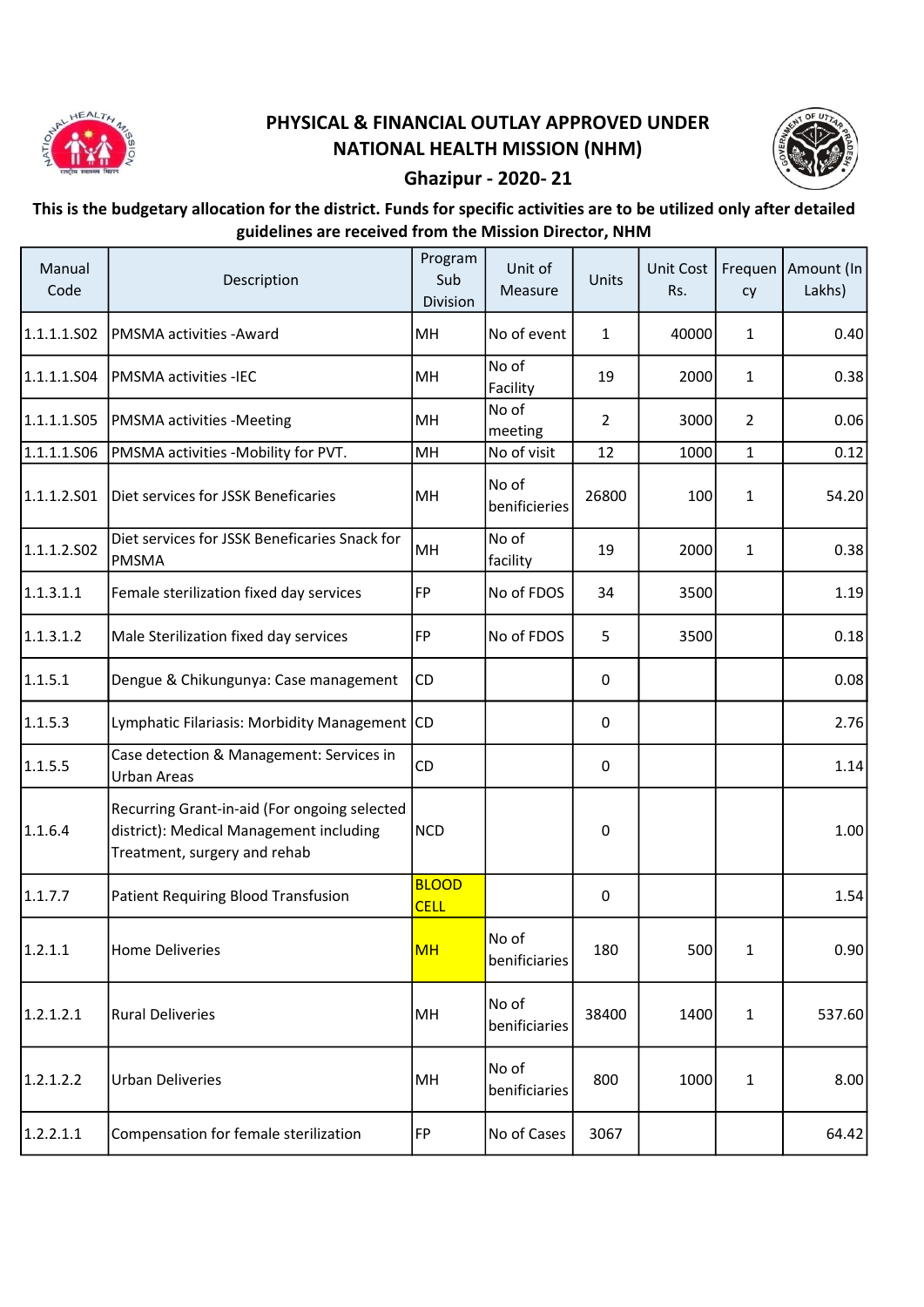

## PHYSICAL & FINANCIAL OUTLAY APPROVED UNDER NATIONAL HEALTH MISSION (NHM)



## Ghazipur - 2020- 21

## This is the budgetary allocation for the district. Funds for specific activities are to be utilized only after detailed guidelines are received from the Mission Director, NHM

| Manual<br>Code | Description                                                                                                             | Program<br>Sub<br>Division  | Unit of<br>Measure     | Units          | Unit Cost<br>Rs. | cy           | Frequen   Amount (In<br>Lakhs) |
|----------------|-------------------------------------------------------------------------------------------------------------------------|-----------------------------|------------------------|----------------|------------------|--------------|--------------------------------|
| 1.1.1.1.502    | <b>PMSMA activities -Award</b>                                                                                          | MH                          | No of event            | 1              | 40000            | 1            | 0.40                           |
| 1.1.1.1.S04    | PMSMA activities -IEC                                                                                                   | MH                          | No of<br>Facility      | 19             | 2000             | $\mathbf{1}$ | 0.38                           |
| 1.1.1.1.505    | <b>PMSMA</b> activities -Meeting                                                                                        | MH                          | No of<br>meeting       | $\overline{2}$ | 3000             | 2            | 0.06                           |
| 1.1.1.1.506    | PMSMA activities -Mobility for PVT.                                                                                     | MH                          | No of visit            | 12             | 1000             | $\mathbf{1}$ | 0.12                           |
| 1.1.1.2.501    | Diet services for JSSK Beneficaries                                                                                     | MH                          | No of<br>benificieries | 26800          | 100              | 1            | 54.20                          |
| 1.1.1.2.502    | Diet services for JSSK Beneficaries Snack for<br>PMSMA                                                                  | MH                          | No of<br>facility      | 19             | 2000             | $\mathbf{1}$ | 0.38                           |
| 1.1.3.1.1      | Female sterilization fixed day services                                                                                 | FP                          | No of FDOS             | 34             | 3500             |              | 1.19                           |
| 1.1.3.1.2      | Male Sterilization fixed day services                                                                                   | FP                          | No of FDOS             | 5              | 3500             |              | 0.18                           |
| 1.1.5.1        | Dengue & Chikungunya: Case management                                                                                   | <b>CD</b>                   |                        | 0              |                  |              | 0.08                           |
| 1.1.5.3        | Lymphatic Filariasis: Morbidity Management CD                                                                           |                             |                        | 0              |                  |              | 2.76                           |
| 1.1.5.5        | Case detection & Management: Services in<br><b>Urban Areas</b>                                                          | CD                          |                        | 0              |                  |              | 1.14                           |
| 1.1.6.4        | Recurring Grant-in-aid (For ongoing selected<br>district): Medical Management including<br>Treatment, surgery and rehab | <b>NCD</b>                  |                        | 0              |                  |              | 1.00                           |
| 1.1.7.7        | Patient Requiring Blood Transfusion                                                                                     | <b>BLOOD</b><br><b>CELL</b> |                        | 0              |                  |              | 1.54                           |
| 1.2.1.1        | <b>Home Deliveries</b>                                                                                                  | <b>MH</b>                   | No of<br>benificiaries | 180            | 500              | $\mathbf 1$  | 0.90                           |
| 1.2.1.2.1      | <b>Rural Deliveries</b>                                                                                                 | MH                          | No of<br>benificiaries | 38400          | 1400             | $\mathbf{1}$ | 537.60                         |
| 1.2.1.2.2      | <b>Urban Deliveries</b>                                                                                                 | MH                          | No of<br>benificiaries | 800            | 1000             | 1            | 8.00                           |
| 1.2.2.1.1      | Compensation for female sterilization                                                                                   | FP                          | No of Cases            | 3067           |                  |              | 64.42                          |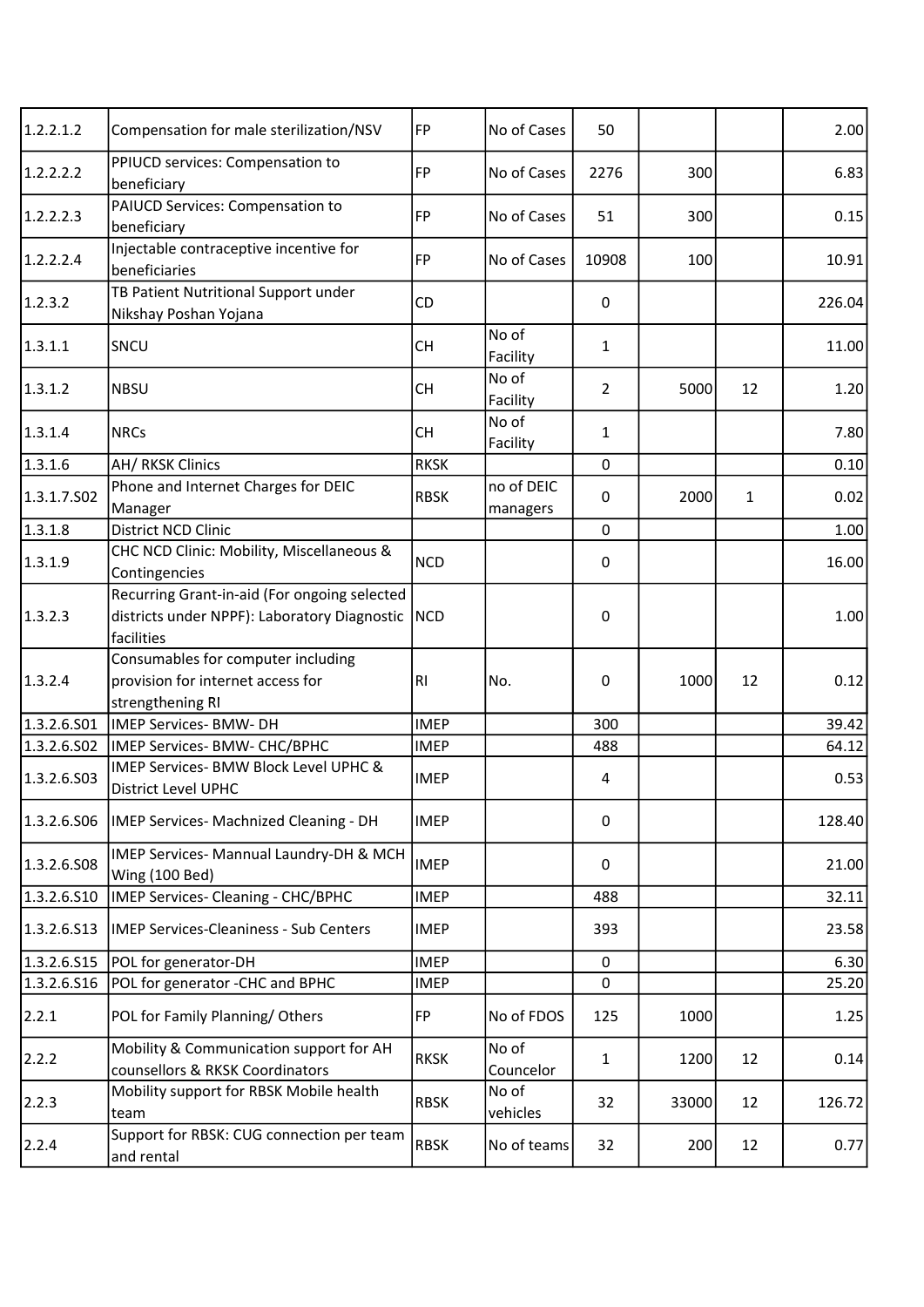| 1.2.2.1.2   | Compensation for male sterilization/NSV                                                                          | FP          | No of Cases            | 50             |       |              | 2.00   |
|-------------|------------------------------------------------------------------------------------------------------------------|-------------|------------------------|----------------|-------|--------------|--------|
| 1.2.2.2.2   | PPIUCD services: Compensation to<br>beneficiary                                                                  | <b>FP</b>   | No of Cases            | 2276           | 300   |              | 6.83   |
| 1.2.2.2.3   | PAIUCD Services: Compensation to<br>beneficiary                                                                  | <b>FP</b>   | No of Cases            | 51             | 300   |              | 0.15   |
| 1.2.2.2.4   | Injectable contraceptive incentive for<br>beneficiaries                                                          | FP          | No of Cases            | 10908          | 100   |              | 10.91  |
| 1.2.3.2     | TB Patient Nutritional Support under<br>Nikshay Poshan Yojana                                                    | CD          |                        | 0              |       |              | 226.04 |
| 1.3.1.1     | SNCU                                                                                                             | <b>CH</b>   | No of<br>Facility      | $\mathbf{1}$   |       |              | 11.00  |
| 1.3.1.2     | <b>NBSU</b>                                                                                                      | CH          | No of<br>Facility      | $\overline{2}$ | 5000  | 12           | 1.20   |
| 1.3.1.4     | <b>NRCs</b>                                                                                                      | <b>CH</b>   | No of<br>Facility      | $\mathbf{1}$   |       |              | 7.80   |
| 1.3.1.6     | AH/RKSK Clinics                                                                                                  | <b>RKSK</b> |                        | 0              |       |              | 0.10   |
| 1.3.1.7.502 | Phone and Internet Charges for DEIC<br>Manager                                                                   | <b>RBSK</b> | no of DEIC<br>managers | 0              | 2000  | $\mathbf{1}$ | 0.02   |
| 1.3.1.8     | District NCD Clinic                                                                                              |             |                        | 0              |       |              | 1.00   |
| 1.3.1.9     | CHC NCD Clinic: Mobility, Miscellaneous &<br>Contingencies                                                       | <b>NCD</b>  |                        | 0              |       |              | 16.00  |
| 1.3.2.3     | Recurring Grant-in-aid (For ongoing selected<br>districts under NPPF): Laboratory Diagnostic   NCD<br>facilities |             |                        | 0              |       |              | 1.00   |
| 1.3.2.4     | Consumables for computer including<br>provision for internet access for<br>strengthening RI                      | RI          | No.                    | 0              | 1000  | 12           | 0.12   |
| 1.3.2.6.501 | IMEP Services- BMW- DH                                                                                           | <b>IMEP</b> |                        | 300            |       |              | 39.42  |
| 1.3.2.6.502 | IMEP Services- BMW- CHC/BPHC                                                                                     | <b>IMEP</b> |                        | 488            |       |              | 64.12  |
| 1.3.2.6.503 | IMEP Services- BMW Block Level UPHC &<br><b>District Level UPHC</b>                                              | <b>IMEP</b> |                        | 4              |       |              | 0.53   |
| 1.3.2.6.506 | IMEP Services- Machnized Cleaning - DH                                                                           | <b>IMEP</b> |                        | $\pmb{0}$      |       |              | 128.40 |
| 1.3.2.6.508 | IMEP Services- Mannual Laundry-DH & MCH<br>Wing (100 Bed)                                                        | <b>IMEP</b> |                        | 0              |       |              | 21.00  |
| 1.3.2.6.510 | IMEP Services- Cleaning - CHC/BPHC                                                                               | <b>IMEP</b> |                        | 488            |       |              | 32.11  |
| 1.3.2.6.513 | <b>IMEP Services-Cleaniness - Sub Centers</b>                                                                    | <b>IMEP</b> |                        | 393            |       |              | 23.58  |
| 1.3.2.6.S15 | POL for generator-DH                                                                                             | <b>IMEP</b> |                        | 0              |       |              | 6.30   |
| 1.3.2.6.516 | POL for generator -CHC and BPHC                                                                                  | <b>IMEP</b> |                        | 0              |       |              | 25.20  |
| 2.2.1       | POL for Family Planning/Others                                                                                   | FP          | No of FDOS             | 125            | 1000  |              | 1.25   |
| 2.2.2       | Mobility & Communication support for AH<br>counsellors & RKSK Coordinators                                       | <b>RKSK</b> | No of<br>Councelor     | $\mathbf{1}$   | 1200  | 12           | 0.14   |
| 2.2.3       | Mobility support for RBSK Mobile health<br>team                                                                  | <b>RBSK</b> | No of<br>vehicles      | 32             | 33000 | 12           | 126.72 |
| 2.2.4       | Support for RBSK: CUG connection per team<br>and rental                                                          | <b>RBSK</b> | No of teams            | 32             | 200   | 12           | 0.77   |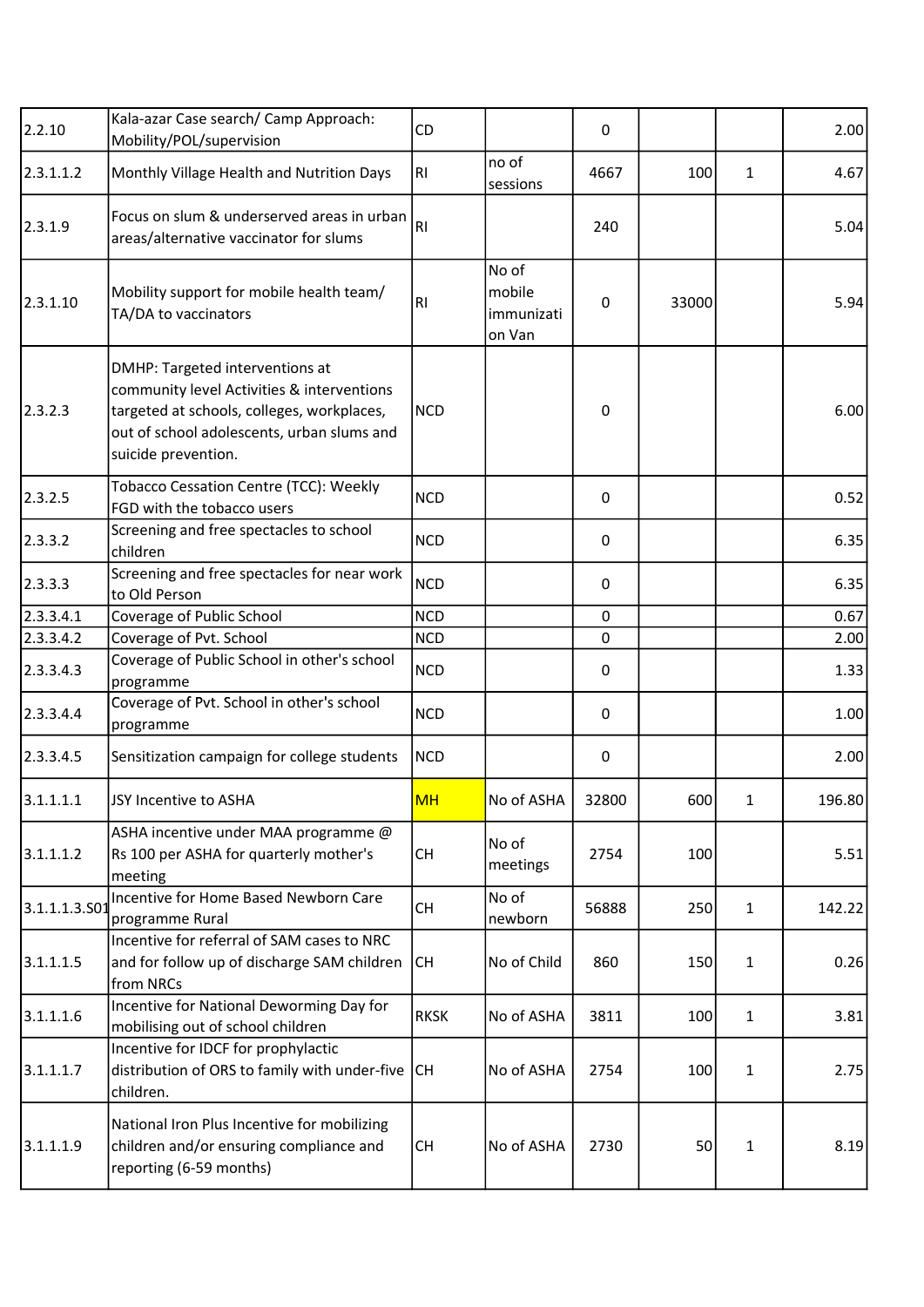| 2.2.10        | Kala-azar Case search/ Camp Approach:<br>Mobility/POL/supervision                                                                                                                                | CD          |                                         | 0     |       |              | 2.00   |
|---------------|--------------------------------------------------------------------------------------------------------------------------------------------------------------------------------------------------|-------------|-----------------------------------------|-------|-------|--------------|--------|
| 2.3.1.1.2     | Monthly Village Health and Nutrition Days                                                                                                                                                        | RI          | no of<br>sessions                       | 4667  | 100   | 1            | 4.67   |
| 2.3.1.9       | Focus on slum & underserved areas in urban<br>areas/alternative vaccinator for slums                                                                                                             | RI.         |                                         | 240   |       |              | 5.04   |
| 2.3.1.10      | Mobility support for mobile health team/<br>TA/DA to vaccinators                                                                                                                                 | RI.         | No of<br>mobile<br>immunizati<br>on Van | 0     | 33000 |              | 5.94   |
| 2.3.2.3       | DMHP: Targeted interventions at<br>community level Activities & interventions<br>targeted at schools, colleges, workplaces,<br>out of school adolescents, urban slums and<br>suicide prevention. | <b>NCD</b>  |                                         | 0     |       |              | 6.00   |
| 2.3.2.5       | Tobacco Cessation Centre (TCC): Weekly<br>FGD with the tobacco users                                                                                                                             | <b>NCD</b>  |                                         | 0     |       |              | 0.52   |
| 2.3.3.2       | Screening and free spectacles to school<br>children                                                                                                                                              | <b>NCD</b>  |                                         | 0     |       |              | 6.35   |
| 2.3.3.3       | Screening and free spectacles for near work<br>to Old Person                                                                                                                                     | <b>NCD</b>  |                                         | 0     |       |              | 6.35   |
| 2.3.3.4.1     | Coverage of Public School                                                                                                                                                                        | <b>NCD</b>  |                                         | 0     |       |              | 0.67   |
| 2.3.3.4.2     | Coverage of Pvt. School                                                                                                                                                                          | <b>NCD</b>  |                                         | 0     |       |              | 2.00   |
| 2.3.3.4.3     | Coverage of Public School in other's school<br>programme                                                                                                                                         | <b>NCD</b>  |                                         | 0     |       |              | 1.33   |
| 2.3.3.4.4     | Coverage of Pvt. School in other's school<br>programme                                                                                                                                           | <b>NCD</b>  |                                         | 0     |       |              | 1.00   |
| 2.3.3.4.5     | Sensitization campaign for college students                                                                                                                                                      | <b>NCD</b>  |                                         | 0     |       |              | 2.00   |
| 3.1.1.1.1     | JSY Incentive to ASHA                                                                                                                                                                            | <b>MH</b>   | No of ASHA                              | 32800 | 600   | 1            | 196.80 |
| 3.1.1.1.2     | ASHA incentive under MAA programme @<br>Rs 100 per ASHA for quarterly mother's<br>meeting                                                                                                        | <b>CH</b>   | No of<br>meetings                       | 2754  | 100   |              | 5.51   |
| 3.1.1.1.3.501 | Incentive for Home Based Newborn Care<br>programme Rural                                                                                                                                         | <b>CH</b>   | No of<br>newborn                        | 56888 | 250   | $\mathbf{1}$ | 142.22 |
| 3.1.1.1.5     | Incentive for referral of SAM cases to NRC<br>and for follow up of discharge SAM children<br>from NRCs                                                                                           | <b>CH</b>   | No of Child                             | 860   | 150   | 1            | 0.26   |
| 3.1.1.1.6     | Incentive for National Deworming Day for<br>mobilising out of school children                                                                                                                    | <b>RKSK</b> | No of ASHA                              | 3811  | 100   | 1            | 3.81   |
| 3.1.1.1.7     | Incentive for IDCF for prophylactic<br>distribution of ORS to family with under-five<br>children.                                                                                                | CH          | No of ASHA                              | 2754  | 100   | 1            | 2.75   |
| 3.1.1.1.9     | National Iron Plus Incentive for mobilizing<br>children and/or ensuring compliance and<br>reporting (6-59 months)                                                                                | <b>CH</b>   | No of ASHA                              | 2730  | 50    | 1            | 8.19   |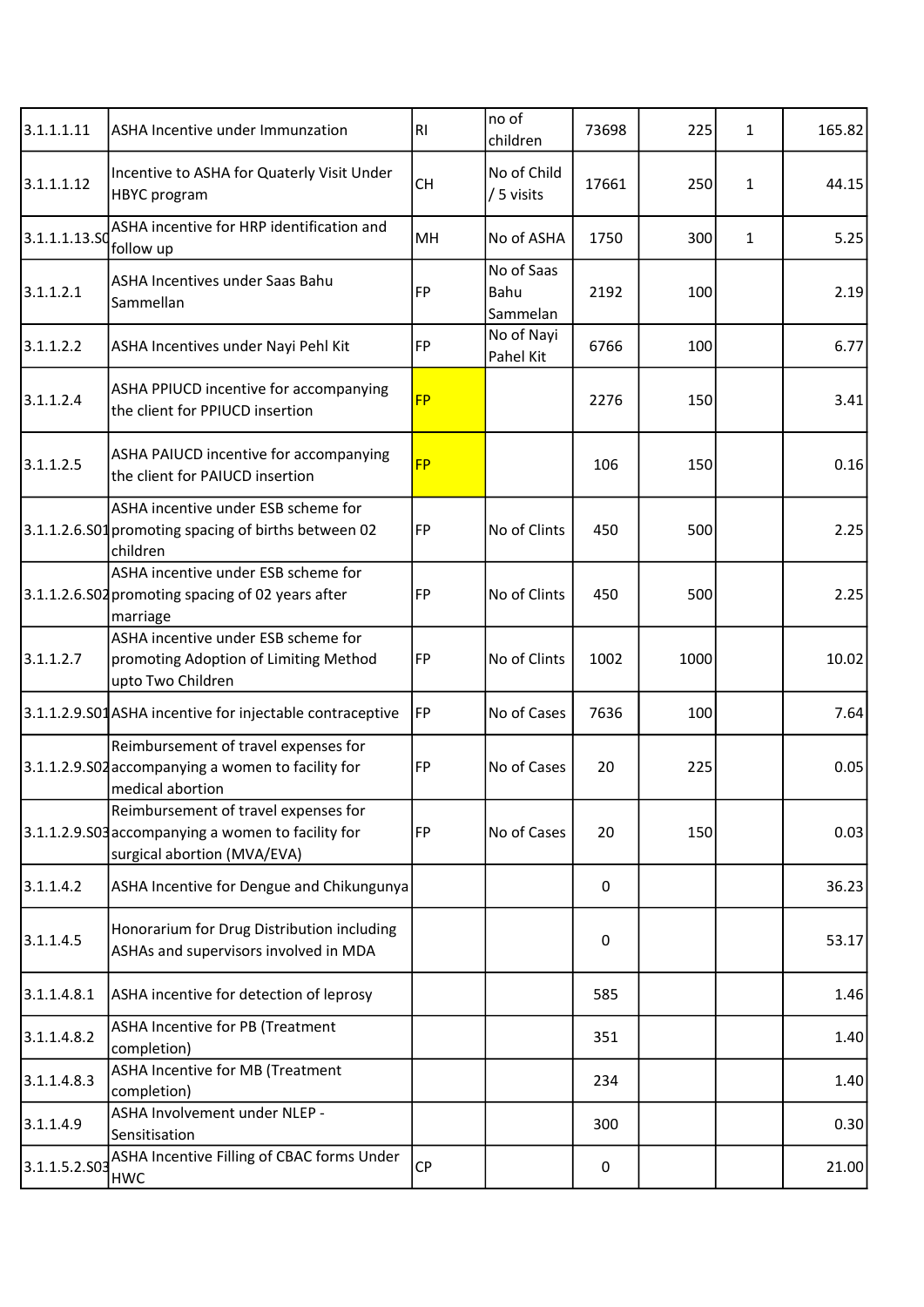| 3.1.1.1.11    | ASHA Incentive under Immunzation                                                                                          | RI        | no of<br>children              | 73698 | 225  | 1 | 165.82 |
|---------------|---------------------------------------------------------------------------------------------------------------------------|-----------|--------------------------------|-------|------|---|--------|
| 3.1.1.1.12    | Incentive to ASHA for Quaterly Visit Under<br><b>HBYC</b> program                                                         | <b>CH</b> | No of Child<br>/ 5 visits      | 17661 | 250  | 1 | 44.15  |
| 3.1.1.1.13.SQ | ASHA incentive for HRP identification and<br>follow up                                                                    | MH        | No of ASHA                     | 1750  | 300  | 1 | 5.25   |
| 3.1.1.2.1     | <b>ASHA Incentives under Saas Bahu</b><br>Sammellan                                                                       | <b>FP</b> | No of Saas<br>Bahu<br>Sammelan | 2192  | 100  |   | 2.19   |
| 3.1.1.2.2     | ASHA Incentives under Nayi Pehl Kit                                                                                       | FP        | No of Nayi<br>Pahel Kit        | 6766  | 100  |   | 6.77   |
| 3.1.1.2.4     | ASHA PPIUCD incentive for accompanying<br>the client for PPIUCD insertion                                                 | <b>FP</b> |                                | 2276  | 150  |   | 3.41   |
| 3.1.1.2.5     | ASHA PAIUCD incentive for accompanying<br>the client for PAIUCD insertion                                                 | <b>FP</b> |                                | 106   | 150  |   | 0.16   |
|               | ASHA incentive under ESB scheme for<br>3.1.1.2.6.S01 promoting spacing of births between 02<br>children                   | FP        | No of Clints                   | 450   | 500  |   | 2.25   |
|               | ASHA incentive under ESB scheme for<br>3.1.1.2.6.S02 promoting spacing of 02 years after<br>marriage                      | FP        | No of Clints                   | 450   | 500  |   | 2.25   |
| 3.1.1.2.7     | ASHA incentive under ESB scheme for<br>promoting Adoption of Limiting Method<br>upto Two Children                         | FP        | No of Clints                   | 1002  | 1000 |   | 10.02  |
|               | 3.1.1.2.9.S01 ASHA incentive for injectable contraceptive                                                                 | FP        | No of Cases                    | 7636  | 100  |   | 7.64   |
|               | Reimbursement of travel expenses for<br>3.1.1.2.9. SO2 accompanying a women to facility for<br>medical abortion           | FP        | No of Cases                    | 20    | 225  |   | 0.05   |
|               | Reimbursement of travel expenses for<br>3.1.1.2.9.503 accompanying a women to facility for<br>surgical abortion (MVA/EVA) | FP        | No of Cases                    | 20    | 150  |   | 0.03   |
| 3.1.1.4.2     | ASHA Incentive for Dengue and Chikungunya                                                                                 |           |                                | 0     |      |   | 36.23  |
| 3.1.1.4.5     | Honorarium for Drug Distribution including<br>ASHAs and supervisors involved in MDA                                       |           |                                | 0     |      |   | 53.17  |
| 3.1.1.4.8.1   | ASHA incentive for detection of leprosy                                                                                   |           |                                | 585   |      |   | 1.46   |
| 3.1.1.4.8.2   | ASHA Incentive for PB (Treatment<br>completion)                                                                           |           |                                | 351   |      |   | 1.40   |
| 3.1.1.4.8.3   | ASHA Incentive for MB (Treatment<br>completion)                                                                           |           |                                | 234   |      |   | 1.40   |
| 3.1.1.4.9     | ASHA Involvement under NLEP -<br>Sensitisation                                                                            |           |                                | 300   |      |   | 0.30   |
| 3.1.1.5.2.503 | ASHA Incentive Filling of CBAC forms Under<br><b>HWC</b>                                                                  | <b>CP</b> |                                | 0     |      |   | 21.00  |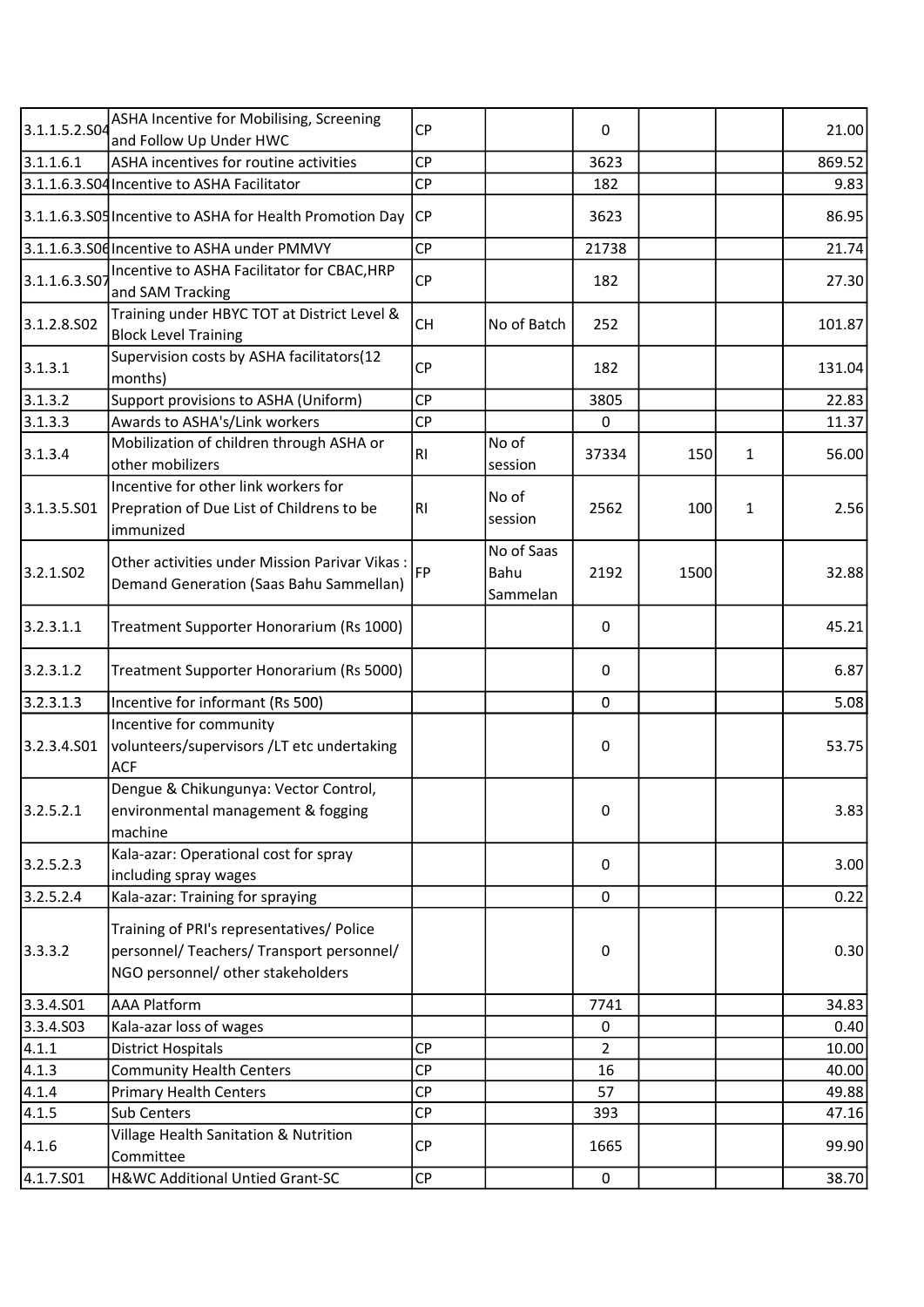| 3.1.1.5.2.S04 | ASHA Incentive for Mobilising, Screening<br>and Follow Up Under HWC                                                         | <b>CP</b> |                                | 0              |      |   | 21.00  |
|---------------|-----------------------------------------------------------------------------------------------------------------------------|-----------|--------------------------------|----------------|------|---|--------|
| 3.1.1.6.1     | ASHA incentives for routine activities                                                                                      | <b>CP</b> |                                | 3623           |      |   | 869.52 |
|               | 3.1.1.6.3.S04 Incentive to ASHA Facilitator                                                                                 | <b>CP</b> |                                | 182            |      |   | 9.83   |
|               | 3.1.1.6.3.S05 Incentive to ASHA for Health Promotion Day                                                                    | <b>CP</b> |                                | 3623           |      |   | 86.95  |
|               | 3.1.1.6.3.S0d Incentive to ASHA under PMMVY                                                                                 | <b>CP</b> |                                | 21738          |      |   | 21.74  |
|               | Incentive to ASHA Facilitator for CBAC, HRP                                                                                 |           |                                |                |      |   |        |
| 3.1.1.6.3.50  | and SAM Tracking                                                                                                            | <b>CP</b> |                                | 182            |      |   | 27.30  |
| 3.1.2.8.502   | Training under HBYC TOT at District Level &<br><b>Block Level Training</b>                                                  | <b>CH</b> | No of Batch                    | 252            |      |   | 101.87 |
| 3.1.3.1       | Supervision costs by ASHA facilitators(12<br>months)                                                                        | <b>CP</b> |                                | 182            |      |   | 131.04 |
| 3.1.3.2       | Support provisions to ASHA (Uniform)                                                                                        | <b>CP</b> |                                | 3805           |      |   | 22.83  |
| 3.1.3.3       | Awards to ASHA's/Link workers                                                                                               | <b>CP</b> |                                | 0              |      |   | 11.37  |
| 3.1.3.4       | Mobilization of children through ASHA or<br>other mobilizers                                                                | RI        | No of<br>session               | 37334          | 150  | 1 | 56.00  |
| 3.1.3.5.501   | Incentive for other link workers for<br>Prepration of Due List of Childrens to be<br>immunized                              | RI        | No of<br>session               | 2562           | 100  | 1 | 2.56   |
| 3.2.1.502     | Other activities under Mission Parivar Vikas:<br>Demand Generation (Saas Bahu Sammellan)                                    | <b>FP</b> | No of Saas<br>Bahu<br>Sammelan | 2192           | 1500 |   | 32.88  |
| 3.2.3.1.1     | Treatment Supporter Honorarium (Rs 1000)                                                                                    |           |                                | $\mathbf 0$    |      |   | 45.21  |
| 3.2.3.1.2     | Treatment Supporter Honorarium (Rs 5000)                                                                                    |           |                                | 0              |      |   | 6.87   |
| 3.2.3.1.3     | Incentive for informant (Rs 500)                                                                                            |           |                                | $\mathbf 0$    |      |   | 5.08   |
| 3.2.3.4.501   | Incentive for community<br>volunteers/supervisors /LT etc undertaking<br><b>ACF</b>                                         |           |                                | 0              |      |   | 53.75  |
| 3.2.5.2.1     | Dengue & Chikungunya: Vector Control,<br>environmental management & fogging<br>machine                                      |           |                                | 0              |      |   | 3.83   |
| 3.2.5.2.3     | Kala-azar: Operational cost for spray<br>including spray wages                                                              |           |                                | 0              |      |   | 3.00   |
| 3.2.5.2.4     | Kala-azar: Training for spraying                                                                                            |           |                                | 0              |      |   | 0.22   |
| 3.3.3.2       | Training of PRI's representatives/ Police<br>personnel/ Teachers/ Transport personnel/<br>NGO personnel/ other stakeholders |           |                                | 0              |      |   | 0.30   |
| 3.3.4.S01     | <b>AAA Platform</b>                                                                                                         |           |                                | 7741           |      |   | 34.83  |
| 3.3.4.503     | Kala-azar loss of wages                                                                                                     |           |                                | 0              |      |   | 0.40   |
| 4.1.1         | <b>District Hospitals</b>                                                                                                   | <b>CP</b> |                                | $\overline{2}$ |      |   | 10.00  |
| 4.1.3         | <b>Community Health Centers</b>                                                                                             | <b>CP</b> |                                | 16             |      |   | 40.00  |
| 4.1.4         | <b>Primary Health Centers</b>                                                                                               | <b>CP</b> |                                | 57             |      |   | 49.88  |
| 4.1.5         | Sub Centers                                                                                                                 | СP        |                                | 393            |      |   | 47.16  |
| 4.1.6         | Village Health Sanitation & Nutrition<br>Committee                                                                          | <b>CP</b> |                                | 1665           |      |   | 99.90  |
| 4.1.7.501     | H&WC Additional Untied Grant-SC                                                                                             | СP        |                                | $\pmb{0}$      |      |   | 38.70  |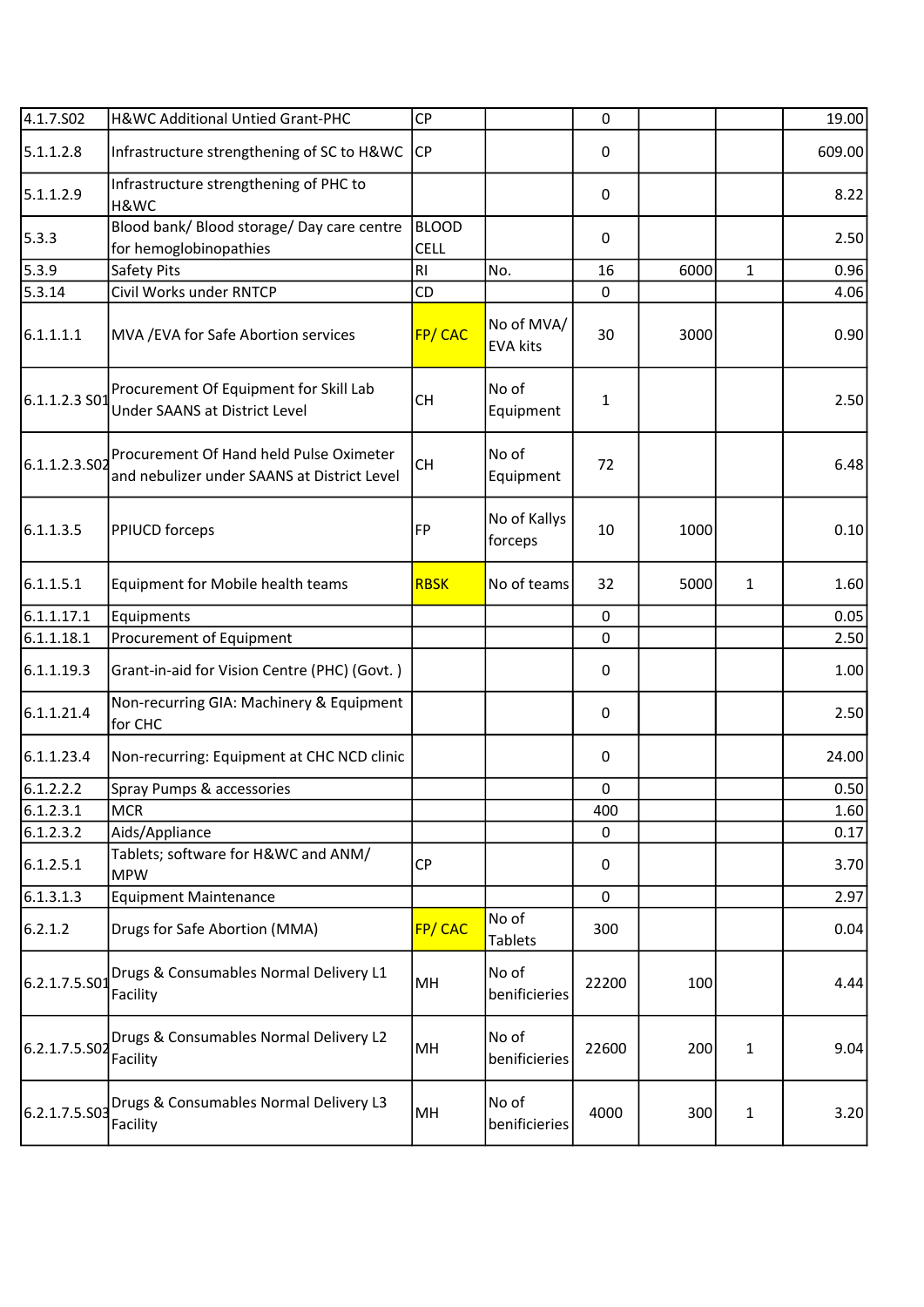| 4.1.7.502     | H&WC Additional Untied Grant-PHC                                                       | CP                   |                               | $\mathbf 0$  |      |              | 19.00  |
|---------------|----------------------------------------------------------------------------------------|----------------------|-------------------------------|--------------|------|--------------|--------|
| 5.1.1.2.8     | Infrastructure strengthening of SC to H&WC                                             | CP                   |                               | 0            |      |              | 609.00 |
| 5.1.1.2.9     | Infrastructure strengthening of PHC to<br>H&WC                                         |                      |                               | 0            |      |              | 8.22   |
| 5.3.3         | Blood bank/ Blood storage/ Day care centre<br>for hemoglobinopathies                   | <b>BLOOD</b><br>CELL |                               | $\pmb{0}$    |      |              | 2.50   |
| 5.3.9         | Safety Pits                                                                            | RI                   | No.                           | 16           | 6000 | $\mathbf{1}$ | 0.96   |
| 5.3.14        | Civil Works under RNTCP                                                                | CD                   |                               | $\pmb{0}$    |      |              | 4.06   |
| 6.1.1.1.1     | MVA / EVA for Safe Abortion services                                                   | FP/CAC               | No of MVA/<br><b>EVA kits</b> | 30           | 3000 |              | 0.90   |
| 6.1.1.2.3 S01 | Procurement Of Equipment for Skill Lab<br><b>Under SAANS at District Level</b>         | <b>CH</b>            | No of<br>Equipment            | $\mathbf{1}$ |      |              | 2.50   |
| 6.1.1.2.3.502 | Procurement Of Hand held Pulse Oximeter<br>and nebulizer under SAANS at District Level | <b>CH</b>            | No of<br>Equipment            | 72           |      |              | 6.48   |
| 6.1.1.3.5     | <b>PPIUCD forceps</b>                                                                  | <b>FP</b>            | No of Kallys<br>forceps       | 10           | 1000 |              | 0.10   |
| 6.1.1.5.1     | Equipment for Mobile health teams                                                      | <b>RBSK</b>          | No of teams                   | 32           | 5000 | 1            | 1.60   |
| 6.1.1.17.1    | Equipments                                                                             |                      |                               | $\mathbf 0$  |      |              | 0.05   |
| 6.1.1.18.1    | Procurement of Equipment                                                               |                      |                               | 0            |      |              | 2.50   |
| 6.1.1.19.3    | Grant-in-aid for Vision Centre (PHC) (Govt.)                                           |                      |                               | 0            |      |              | 1.00   |
| 6.1.1.21.4    | Non-recurring GIA: Machinery & Equipment<br>for CHC                                    |                      |                               | 0            |      |              | 2.50   |
| 6.1.1.23.4    | Non-recurring: Equipment at CHC NCD clinic                                             |                      |                               | $\pmb{0}$    |      |              | 24.00  |
| 6.1.2.2.2     | Spray Pumps & accessories                                                              |                      |                               | $\pmb{0}$    |      |              | 0.50   |
| 6.1.2.3.1     | MCR                                                                                    |                      |                               | 400          |      |              | 1.60   |
| 6.1.2.3.2     | Aids/Appliance                                                                         |                      |                               | 0            |      |              | 0.17   |
| 6.1.2.5.1     | Tablets; software for H&WC and ANM/<br><b>MPW</b>                                      | <b>CP</b>            |                               | 0            |      |              | 3.70   |
| 6.1.3.1.3     | <b>Equipment Maintenance</b>                                                           |                      |                               | $\pmb{0}$    |      |              | 2.97   |
| 6.2.1.2       | Drugs for Safe Abortion (MMA)                                                          | FP/CAC               | No of<br><b>Tablets</b>       | 300          |      |              | 0.04   |
| 6.2.1.7.5.S01 | Drugs & Consumables Normal Delivery L1<br>Facility                                     | MH                   | No of<br>benificieries        | 22200        | 100  |              | 4.44   |
| 6.2.1.7.5.S02 | Drugs & Consumables Normal Delivery L2<br>Facility                                     | MH                   | No of<br>benificieries        | 22600        | 200  | 1            | 9.04   |
| 6.2.1.7.5.S03 | Drugs & Consumables Normal Delivery L3<br>Facility                                     | MH                   | No of<br>benificieries        | 4000         | 300  | 1            | 3.20   |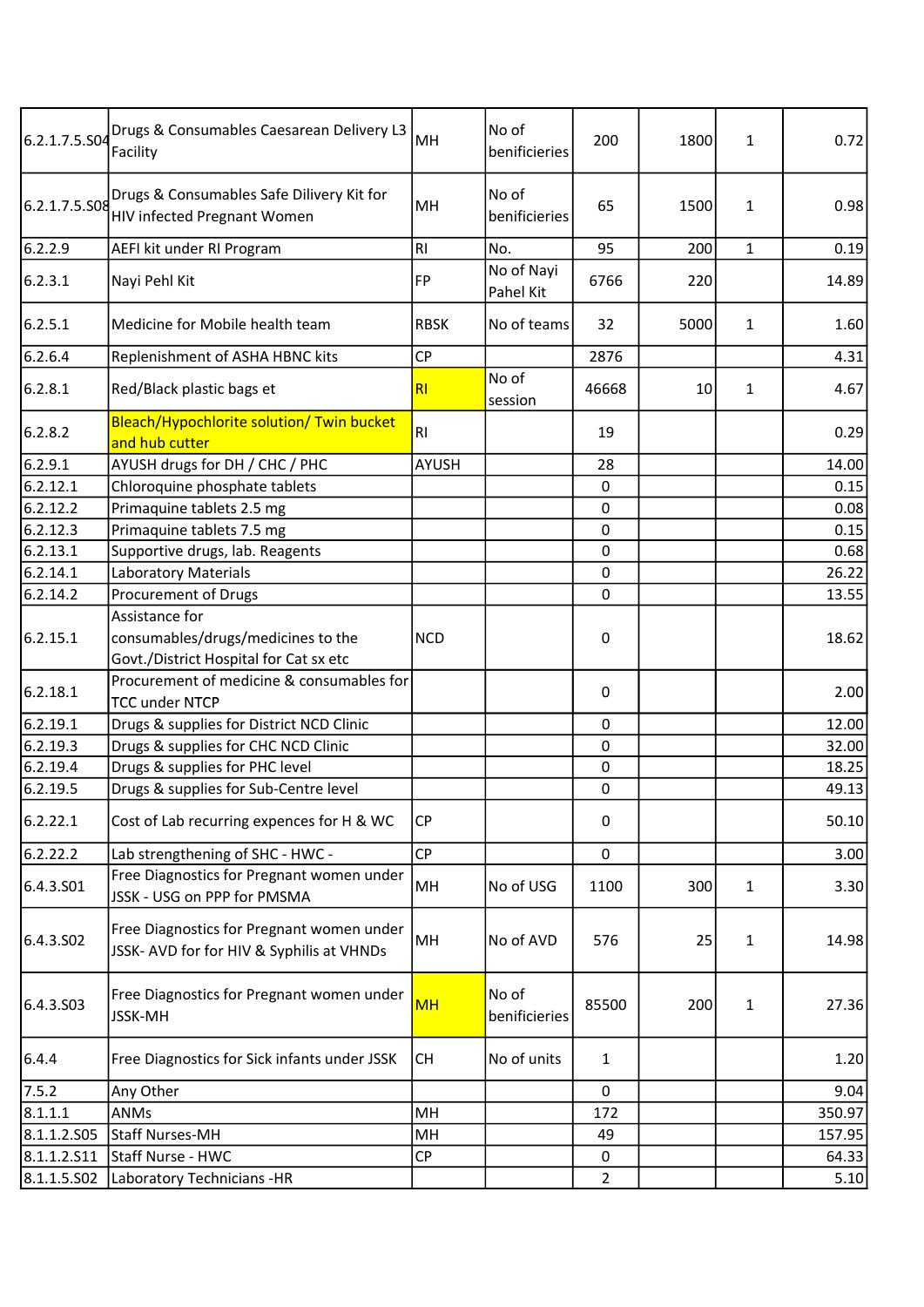| 6.2.1.7.5.S04 | Drugs & Consumables Caesarean Delivery L3<br>Facility                                  | MH           | No of<br>benificieries  | 200            | 1800 | 1            | 0.72   |
|---------------|----------------------------------------------------------------------------------------|--------------|-------------------------|----------------|------|--------------|--------|
| 6.2.1.7.5.S08 | Drugs & Consumables Safe Dilivery Kit for<br><b>HIV infected Pregnant Women</b>        | MH           | No of<br>benificieries  | 65             | 1500 | $\mathbf{1}$ | 0.98   |
| 6.2.2.9       | AEFI kit under RI Program                                                              | RI           | No.                     | 95             | 200  | $\mathbf{1}$ | 0.19   |
| 6.2.3.1       | Nayi Pehl Kit                                                                          | <b>FP</b>    | No of Nayi<br>Pahel Kit | 6766           | 220  |              | 14.89  |
| 6.2.5.1       | Medicine for Mobile health team                                                        | <b>RBSK</b>  | No of teams             | 32             | 5000 | $\mathbf{1}$ | 1.60   |
| 6.2.6.4       | Replenishment of ASHA HBNC kits                                                        | <b>CP</b>    |                         | 2876           |      |              | 4.31   |
| 6.2.8.1       | Red/Black plastic bags et                                                              | RI           | No of<br>session        | 46668          | 10   | 1            | 4.67   |
| 6.2.8.2       | Bleach/Hypochlorite solution/ Twin bucket<br>and hub cutter                            | RI           |                         | 19             |      |              | 0.29   |
| 6.2.9.1       | AYUSH drugs for DH / CHC / PHC                                                         | <b>AYUSH</b> |                         | 28             |      |              | 14.00  |
| 6.2.12.1      | Chloroquine phosphate tablets                                                          |              |                         | $\mathbf 0$    |      |              | 0.15   |
| 6.2.12.2      | Primaquine tablets 2.5 mg                                                              |              |                         | $\mathbf 0$    |      |              | 0.08   |
| 6.2.12.3      | Primaquine tablets 7.5 mg                                                              |              |                         | 0              |      |              | 0.15   |
| 6.2.13.1      | Supportive drugs, lab. Reagents                                                        |              |                         | $\mathbf 0$    |      |              | 0.68   |
| 6.2.14.1      | Laboratory Materials                                                                   |              |                         | 0              |      |              | 26.22  |
| 6.2.14.2      | Procurement of Drugs                                                                   |              |                         | 0              |      |              | 13.55  |
| 6.2.15.1      | Assistance for<br>consumables/drugs/medicines to the                                   | <b>NCD</b>   |                         | $\pmb{0}$      |      |              | 18.62  |
| 6.2.18.1      | Govt./District Hospital for Cat sx etc<br>Procurement of medicine & consumables for    |              |                         | 0              |      |              | 2.00   |
| 6.2.19.1      | <b>TCC under NTCP</b>                                                                  |              |                         | $\mathbf 0$    |      |              | 12.00  |
| 6.2.19.3      | Drugs & supplies for District NCD Clinic<br>Drugs & supplies for CHC NCD Clinic        |              |                         | $\pmb{0}$      |      |              | 32.00  |
| 6.2.19.4      | Drugs & supplies for PHC level                                                         |              |                         | 0              |      |              | 18.25  |
| 6.2.19.5      | Drugs & supplies for Sub-Centre level                                                  |              |                         | $\pmb{0}$      |      |              | 49.13  |
|               |                                                                                        |              |                         |                |      |              |        |
| 6.2.22.1      | Cost of Lab recurring expences for H & WC                                              | CP           |                         | $\pmb{0}$      |      |              | 50.10  |
| 6.2.22.2      | Lab strengthening of SHC - HWC -                                                       | <b>CP</b>    |                         | $\mathbf 0$    |      |              | 3.00   |
| 6.4.3.S01     | Free Diagnostics for Pregnant women under<br>JSSK - USG on PPP for PMSMA               | MH           | No of USG               | 1100           | 300  | $\mathbf{1}$ | 3.30   |
| 6.4.3.502     | Free Diagnostics for Pregnant women under<br>JSSK- AVD for for HIV & Syphilis at VHNDs | MH           | No of AVD               | 576            | 25   | $\mathbf{1}$ | 14.98  |
| 6.4.3.503     | Free Diagnostics for Pregnant women under<br>JSSK-MH                                   | <b>MH</b>    | No of<br>benificieries  | 85500          | 200  | 1            | 27.36  |
| 6.4.4         | Free Diagnostics for Sick infants under JSSK                                           | <b>CH</b>    | No of units             | $\mathbf{1}$   |      |              | 1.20   |
| 7.5.2         | Any Other                                                                              |              |                         | $\mathbf 0$    |      |              | 9.04   |
| 8.1.1.1       | <b>ANMs</b>                                                                            | MH           |                         | 172            |      |              | 350.97 |
| 8.1.1.2.505   | <b>Staff Nurses-MH</b>                                                                 | MH           |                         | 49             |      |              | 157.95 |
| 8.1.1.2.511   | Staff Nurse - HWC                                                                      | <b>CP</b>    |                         | $\pmb{0}$      |      |              | 64.33  |
| 8.1.1.5.S02   | Laboratory Technicians -HR                                                             |              |                         | $\overline{2}$ |      |              | 5.10   |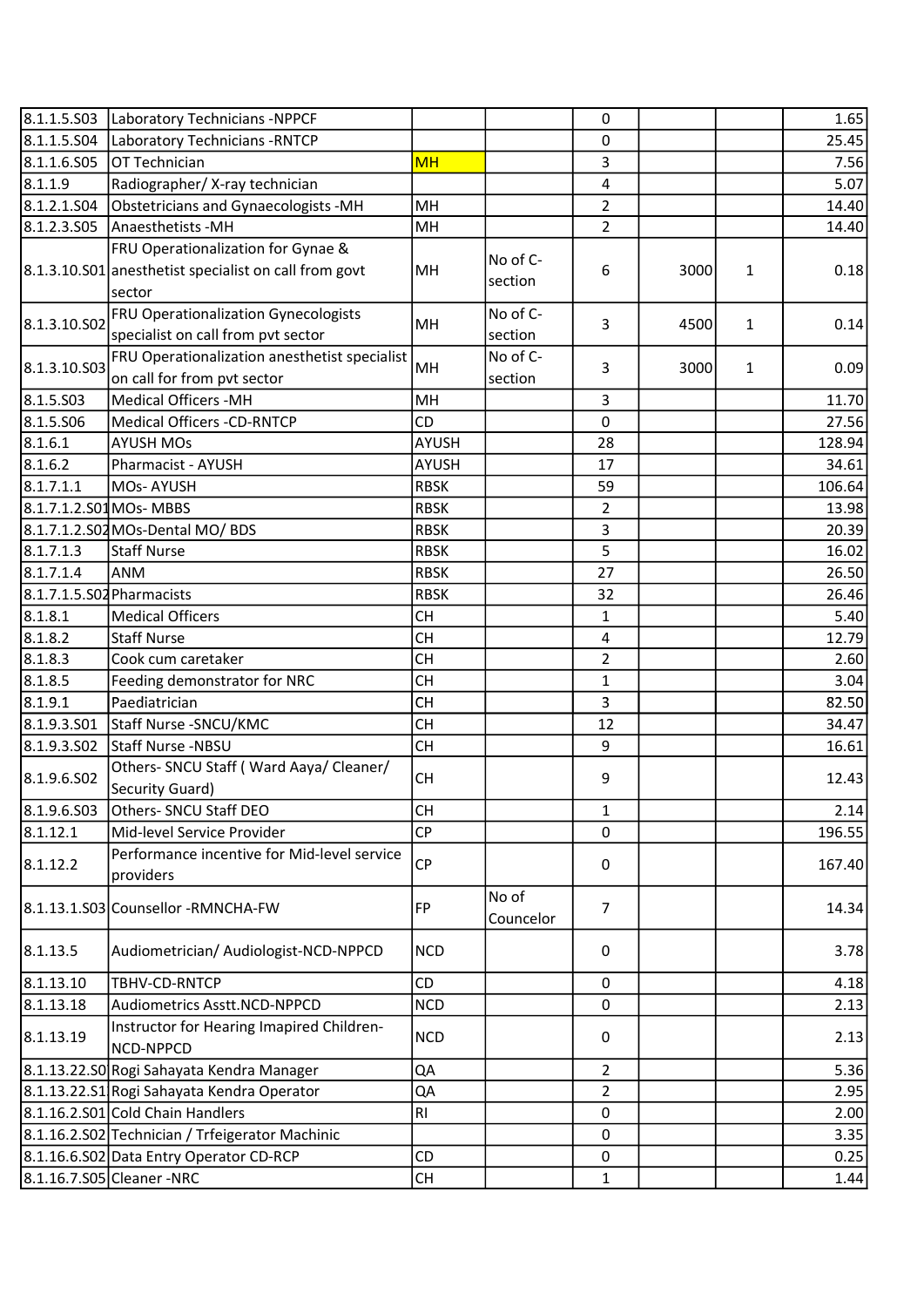|                           | 8.1.1.5.S03 Laboratory Technicians -NPPCF                                                             |              |                     | 0              |      |   | 1.65   |
|---------------------------|-------------------------------------------------------------------------------------------------------|--------------|---------------------|----------------|------|---|--------|
| 8.1.1.5.S04               | Laboratory Technicians - RNTCP                                                                        |              |                     | 0              |      |   | 25.45  |
| 8.1.1.6.S05               | OT Technician                                                                                         | <b>MH</b>    |                     | 3              |      |   | 7.56   |
| 8.1.1.9                   | Radiographer/X-ray technician                                                                         |              |                     | 4              |      |   | 5.07   |
| 8.1.2.1.S04               | Obstetricians and Gynaecologists -MH                                                                  | MH           |                     | $\overline{2}$ |      |   | 14.40  |
|                           |                                                                                                       |              |                     |                |      |   |        |
| 8.1.2.3.S05               | Anaesthetists - MH                                                                                    | MH           |                     | $\overline{2}$ |      |   | 14.40  |
|                           | FRU Operationalization for Gynae &<br>8.1.3.10.S01 anesthetist specialist on call from govt<br>sector | MH           | No of C-<br>section | 6              | 3000 | 1 | 0.18   |
| 8.1.3.10.502              | FRU Operationalization Gynecologists<br>specialist on call from pvt sector                            | MH           | No of C-<br>section | 3              | 4500 | 1 | 0.14   |
| 8.1.3.10.503              | FRU Operationalization anesthetist specialist<br>on call for from pvt sector                          | MH           | No of C-<br>section | 3              | 3000 | 1 | 0.09   |
| 8.1.5.503                 | <b>Medical Officers -MH</b>                                                                           | MH           |                     | 3              |      |   | 11.70  |
| 8.1.5.506                 | <b>Medical Officers -CD-RNTCP</b>                                                                     | CD           |                     | $\mathbf 0$    |      |   | 27.56  |
| 8.1.6.1                   | <b>AYUSH MOs</b>                                                                                      | AYUSH        |                     | 28             |      |   | 128.94 |
| 8.1.6.2                   | Pharmacist - AYUSH                                                                                    | <b>AYUSH</b> |                     | 17             |      |   | 34.61  |
| 8.1.7.1.1                 | <b>MOs-AYUSH</b>                                                                                      | <b>RBSK</b>  |                     | 59             |      |   | 106.64 |
| 8.1.7.1.2.S01 MOs-MBBS    |                                                                                                       | <b>RBSK</b>  |                     | $\overline{2}$ |      |   | 13.98  |
|                           | 8.1.7.1.2.S02 MOs-Dental MO/ BDS                                                                      | <b>RBSK</b>  |                     | 3              |      |   | 20.39  |
| 8.1.7.1.3                 | Staff Nurse                                                                                           | <b>RBSK</b>  |                     | 5              |      |   | 16.02  |
| 8.1.7.1.4                 | <b>ANM</b>                                                                                            | <b>RBSK</b>  |                     | 27             |      |   | 26.50  |
| 8.1.7.1.5.S02 Pharmacists |                                                                                                       | <b>RBSK</b>  |                     | 32             |      |   | 26.46  |
| 8.1.8.1                   | <b>Medical Officers</b>                                                                               | <b>CH</b>    |                     | 1              |      |   | 5.40   |
| 8.1.8.2                   | <b>Staff Nurse</b>                                                                                    | <b>CH</b>    |                     | 4              |      |   | 12.79  |
| 8.1.8.3                   | Cook cum caretaker                                                                                    | <b>CH</b>    |                     | $\overline{2}$ |      |   | 2.60   |
| 8.1.8.5                   | Feeding demonstrator for NRC                                                                          | <b>CH</b>    |                     | $\mathbf{1}$   |      |   | 3.04   |
| 8.1.9.1                   | Paediatrician                                                                                         | <b>CH</b>    |                     | 3              |      |   | 82.50  |
| 8.1.9.3.501               | Staff Nurse - SNCU/KMC                                                                                | <b>CH</b>    |                     | 12             |      |   | 34.47  |
| 8.1.9.3.502               | Staff Nurse -NBSU                                                                                     | <b>CH</b>    |                     | 9              |      |   | 16.61  |
| 8.1.9.6.S02               | Others- SNCU Staff (Ward Aaya/ Cleaner/<br>Security Guard)                                            | <b>CH</b>    |                     | 9              |      |   | 12.43  |
| 8.1.9.6.503               | Others- SNCU Staff DEO                                                                                | <b>CH</b>    |                     | 1              |      |   | 2.14   |
| 8.1.12.1                  | Mid-level Service Provider                                                                            | <b>CP</b>    |                     | 0              |      |   | 196.55 |
| 8.1.12.2                  | Performance incentive for Mid-level service<br>providers                                              | <b>CP</b>    |                     | 0              |      |   | 167.40 |
|                           | 8.1.13.1.S03 Counsellor - RMNCHA-FW                                                                   | <b>FP</b>    | No of<br>Councelor  | $\overline{7}$ |      |   | 14.34  |
| 8.1.13.5                  | Audiometrician/ Audiologist-NCD-NPPCD                                                                 | <b>NCD</b>   |                     | 0              |      |   | 3.78   |
| 8.1.13.10                 | TBHV-CD-RNTCP                                                                                         | <b>CD</b>    |                     | 0              |      |   | 4.18   |
| 8.1.13.18                 | Audiometrics Asstt.NCD-NPPCD                                                                          | <b>NCD</b>   |                     | $\mathbf 0$    |      |   | 2.13   |
| 8.1.13.19                 | Instructor for Hearing Imapired Children-<br>NCD-NPPCD                                                | <b>NCD</b>   |                     | 0              |      |   | 2.13   |
|                           | 8.1.13.22.S0 Rogi Sahayata Kendra Manager                                                             | QA           |                     | $\overline{2}$ |      |   | 5.36   |
|                           | 8.1.13.22.S1 Rogi Sahayata Kendra Operator                                                            | QA           |                     | 2              |      |   | 2.95   |
|                           | 8.1.16.2.S01 Cold Chain Handlers                                                                      | <b>RI</b>    |                     | $\pmb{0}$      |      |   | 2.00   |
|                           | 8.1.16.2.S02 Technician / Trfeigerator Machinic                                                       |              |                     | 0              |      |   | 3.35   |
|                           | 8.1.16.6.S02 Data Entry Operator CD-RCP                                                               | <b>CD</b>    |                     | 0              |      |   | 0.25   |
|                           | 8.1.16.7.S05 Cleaner - NRC                                                                            | <b>CH</b>    |                     | 1              |      |   | 1.44   |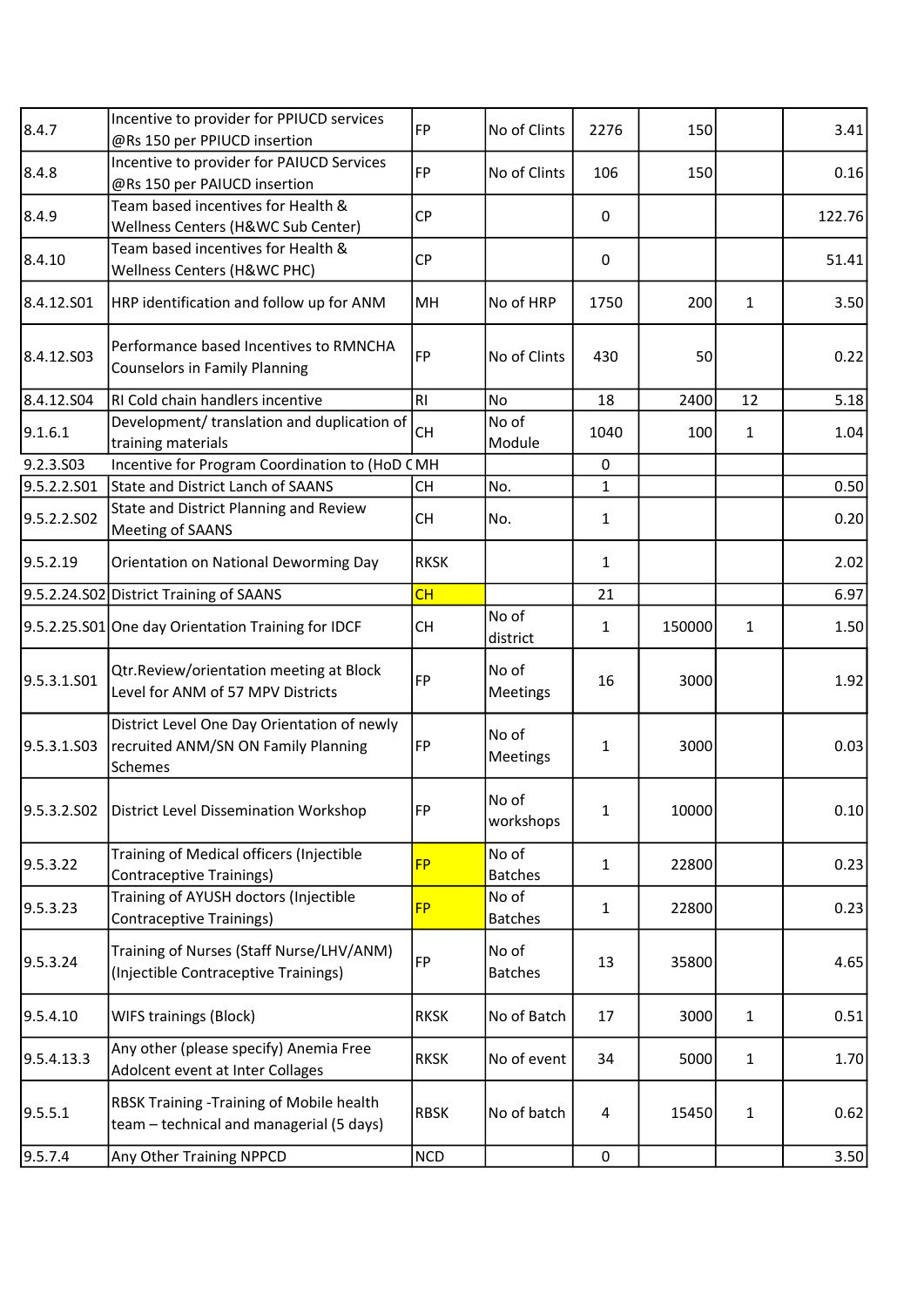| 8.4.7       | Incentive to provider for PPIUCD services<br>@Rs 150 per PPIUCD insertion                     | FP             | No of Clints            | 2276         | 150    |              | 3.41   |
|-------------|-----------------------------------------------------------------------------------------------|----------------|-------------------------|--------------|--------|--------------|--------|
| 8.4.8       | Incentive to provider for PAIUCD Services<br>@Rs 150 per PAIUCD insertion                     | <b>FP</b>      | No of Clints            | 106          | 150    |              | 0.16   |
| 8.4.9       | Team based incentives for Health &<br>Wellness Centers (H&WC Sub Center)                      | <b>CP</b>      |                         | 0            |        |              | 122.76 |
| 8.4.10      | Team based incentives for Health &<br>Wellness Centers (H&WC PHC)                             | <b>CP</b>      |                         | $\pmb{0}$    |        |              | 51.41  |
| 8.4.12.501  | HRP identification and follow up for ANM                                                      | MH             | No of HRP               | 1750         | 200    | $\mathbf{1}$ | 3.50   |
| 8.4.12.S03  | Performance based Incentives to RMNCHA<br><b>Counselors in Family Planning</b>                | FP             | No of Clints            | 430          | 50     |              | 0.22   |
| 8.4.12.S04  | RI Cold chain handlers incentive                                                              | R <sub>l</sub> | <b>No</b>               | 18           | 2400   | 12           | 5.18   |
| 9.1.6.1     | Development/ translation and duplication of<br>training materials                             | <b>CH</b>      | No of<br>Module         | 1040         | 100    | $\mathbf{1}$ | 1.04   |
| 9.2.3.S03   | Incentive for Program Coordination to (HoD CMH                                                |                |                         | 0            |        |              |        |
| 9.5.2.2.501 | State and District Lanch of SAANS                                                             | <b>CH</b>      | No.                     | $\mathbf{1}$ |        |              | 0.50   |
| 9.5.2.2.502 | State and District Planning and Review<br>Meeting of SAANS                                    | <b>CH</b>      | No.                     | $\mathbf{1}$ |        |              | 0.20   |
| 9.5.2.19    | Orientation on National Deworming Day                                                         | <b>RKSK</b>    |                         | $\mathbf{1}$ |        |              | 2.02   |
|             | 9.5.2.24.S02 District Training of SAANS                                                       | CH             |                         | 21           |        |              | 6.97   |
|             | 9.5.2.25.S01 One day Orientation Training for IDCF                                            | <b>CH</b>      | No of<br>district       | $\mathbf{1}$ | 150000 | $\mathbf{1}$ | 1.50   |
| 9.5.3.1.S01 | Qtr.Review/orientation meeting at Block<br>Level for ANM of 57 MPV Districts                  | <b>FP</b>      | No of<br>Meetings       | 16           | 3000   |              | 1.92   |
| 9.5.3.1.S03 | District Level One Day Orientation of newly<br>recruited ANM/SN ON Family Planning<br>Schemes | FP             | No of<br>Meetings       | 1            | 3000   |              | 0.03   |
| 9.5.3.2.502 | District Level Dissemination Workshop                                                         | FP             | No of<br>workshops      | $\mathbf{1}$ | 10000  |              | 0.10   |
| 9.5.3.22    | Training of Medical officers (Injectible<br><b>Contraceptive Trainings)</b>                   | <b>FP</b>      | No of<br><b>Batches</b> | $\mathbf{1}$ | 22800  |              | 0.23   |
| 9.5.3.23    | Training of AYUSH doctors (Injectible<br><b>Contraceptive Trainings)</b>                      | <b>FP</b>      | No of<br><b>Batches</b> | $\mathbf{1}$ | 22800  |              | 0.23   |
| 9.5.3.24    | Training of Nurses (Staff Nurse/LHV/ANM)<br>(Injectible Contraceptive Trainings)              | FP             | No of<br><b>Batches</b> | 13           | 35800  |              | 4.65   |
| 9.5.4.10    | WIFS trainings (Block)                                                                        | <b>RKSK</b>    | No of Batch             | 17           | 3000   | $\mathbf{1}$ | 0.51   |
| 9.5.4.13.3  | Any other (please specify) Anemia Free<br>Adolcent event at Inter Collages                    | <b>RKSK</b>    | No of event             | 34           | 5000   | $\mathbf{1}$ | 1.70   |
| 9.5.5.1     | RBSK Training -Training of Mobile health<br>team - technical and managerial (5 days)          | <b>RBSK</b>    | No of batch             | 4            | 15450  | $\mathbf{1}$ | 0.62   |
| 9.5.7.4     | Any Other Training NPPCD                                                                      | <b>NCD</b>     |                         | $\mathbf 0$  |        |              | 3.50   |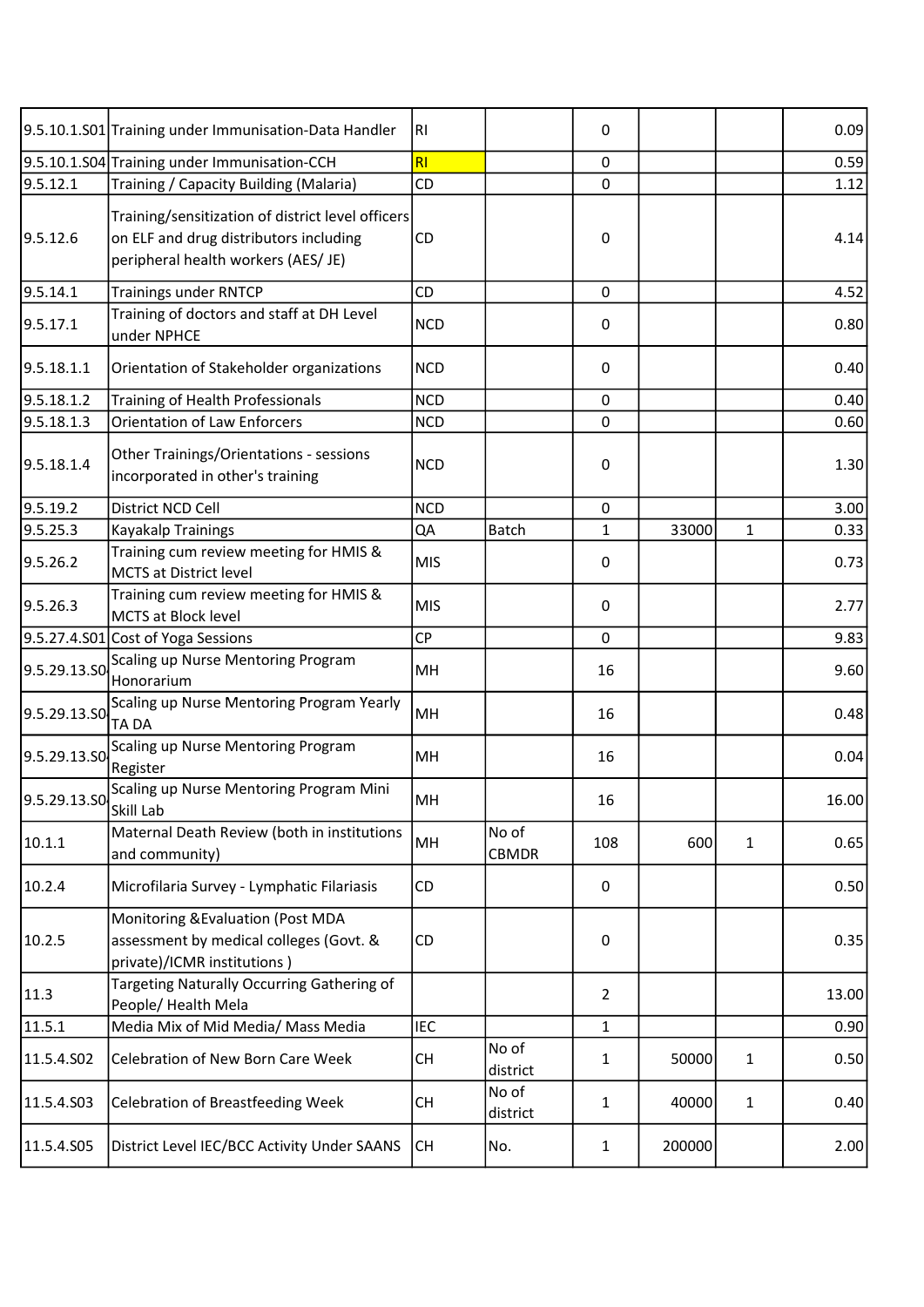|              | 9.5.10.1.S01 Training under Immunisation-Data Handler                                                                              | RI         |                   | 0              |        |              | 0.09  |
|--------------|------------------------------------------------------------------------------------------------------------------------------------|------------|-------------------|----------------|--------|--------------|-------|
|              | 9.5.10.1.S04 Training under Immunisation-CCH                                                                                       | <b>RI</b>  |                   | 0              |        |              | 0.59  |
| 9.5.12.1     | Training / Capacity Building (Malaria)                                                                                             | CD         |                   | 0              |        |              | 1.12  |
| 9.5.12.6     | Training/sensitization of district level officers<br>on ELF and drug distributors including<br>peripheral health workers (AES/ JE) | CD         |                   | 0              |        |              | 4.14  |
| 9.5.14.1     | <b>Trainings under RNTCP</b>                                                                                                       | CD         |                   | $\mathbf 0$    |        |              | 4.52  |
| 9.5.17.1     | Training of doctors and staff at DH Level<br>under NPHCE                                                                           | <b>NCD</b> |                   | 0              |        |              | 0.80  |
| 9.5.18.1.1   | Orientation of Stakeholder organizations                                                                                           | <b>NCD</b> |                   | 0              |        |              | 0.40  |
| 9.5.18.1.2   | Training of Health Professionals                                                                                                   | <b>NCD</b> |                   | 0              |        |              | 0.40  |
| 9.5.18.1.3   | <b>Orientation of Law Enforcers</b>                                                                                                | <b>NCD</b> |                   | $\mathbf 0$    |        |              | 0.60  |
| 9.5.18.1.4   | Other Trainings/Orientations - sessions<br>incorporated in other's training                                                        | <b>NCD</b> |                   | $\pmb{0}$      |        |              | 1.30  |
| 9.5.19.2     | District NCD Cell                                                                                                                  | <b>NCD</b> |                   | 0              |        |              | 3.00  |
| 9.5.25.3     | <b>Kayakalp Trainings</b>                                                                                                          | QA         | <b>Batch</b>      | $\mathbf{1}$   | 33000  | 1            | 0.33  |
| 9.5.26.2     | Training cum review meeting for HMIS &<br><b>MCTS at District level</b>                                                            | <b>MIS</b> |                   | 0              |        |              | 0.73  |
| 9.5.26.3     | Training cum review meeting for HMIS &<br>MCTS at Block level                                                                      | <b>MIS</b> |                   | 0              |        |              | 2.77  |
|              | 9.5.27.4.S01 Cost of Yoga Sessions                                                                                                 | <b>CP</b>  |                   | $\pmb{0}$      |        |              | 9.83  |
| 9.5.29.13.SO | Scaling up Nurse Mentoring Program<br>Honorarium                                                                                   | MH         |                   | 16             |        |              | 9.60  |
| 9.5.29.13.S0 | Scaling up Nurse Mentoring Program Yearly<br><b>TADA</b>                                                                           | MH         |                   | 16             |        |              | 0.48  |
| 9.5.29.13.50 | Scaling up Nurse Mentoring Program<br>Register                                                                                     | MH         |                   | 16             |        |              | 0.04  |
|              | 9.5.29.13.50 Scaling up Nurse Mentoring Program Mini<br>Skill Lab                                                                  | MH         |                   | 16             |        |              | 16.00 |
| 10.1.1       | Maternal Death Review (both in institutions<br>and community)                                                                      | MH         | No of<br>CBMDR    | 108            | 600    | $\mathbf{1}$ | 0.65  |
| 10.2.4       | Microfilaria Survey - Lymphatic Filariasis                                                                                         | CD         |                   | 0              |        |              | 0.50  |
| 10.2.5       | Monitoring & Evaluation (Post MDA<br>assessment by medical colleges (Govt. &<br>private)/ICMR institutions)                        | CD         |                   | 0              |        |              | 0.35  |
| 11.3         | Targeting Naturally Occurring Gathering of<br>People/ Health Mela                                                                  |            |                   | $\overline{2}$ |        |              | 13.00 |
| 11.5.1       | Media Mix of Mid Media/ Mass Media                                                                                                 | <b>IEC</b> |                   | $\mathbf{1}$   |        |              | 0.90  |
| 11.5.4.S02   | Celebration of New Born Care Week                                                                                                  | <b>CH</b>  | No of<br>district | $\mathbf{1}$   | 50000  | 1            | 0.50  |
| 11.5.4.S03   | <b>Celebration of Breastfeeding Week</b>                                                                                           | СH         | No of<br>district | 1              | 40000  | $\mathbf{1}$ | 0.40  |
| 11.5.4.S05   | District Level IEC/BCC Activity Under SAANS                                                                                        | lсн        | No.               | $\mathbf{1}$   | 200000 |              | 2.00  |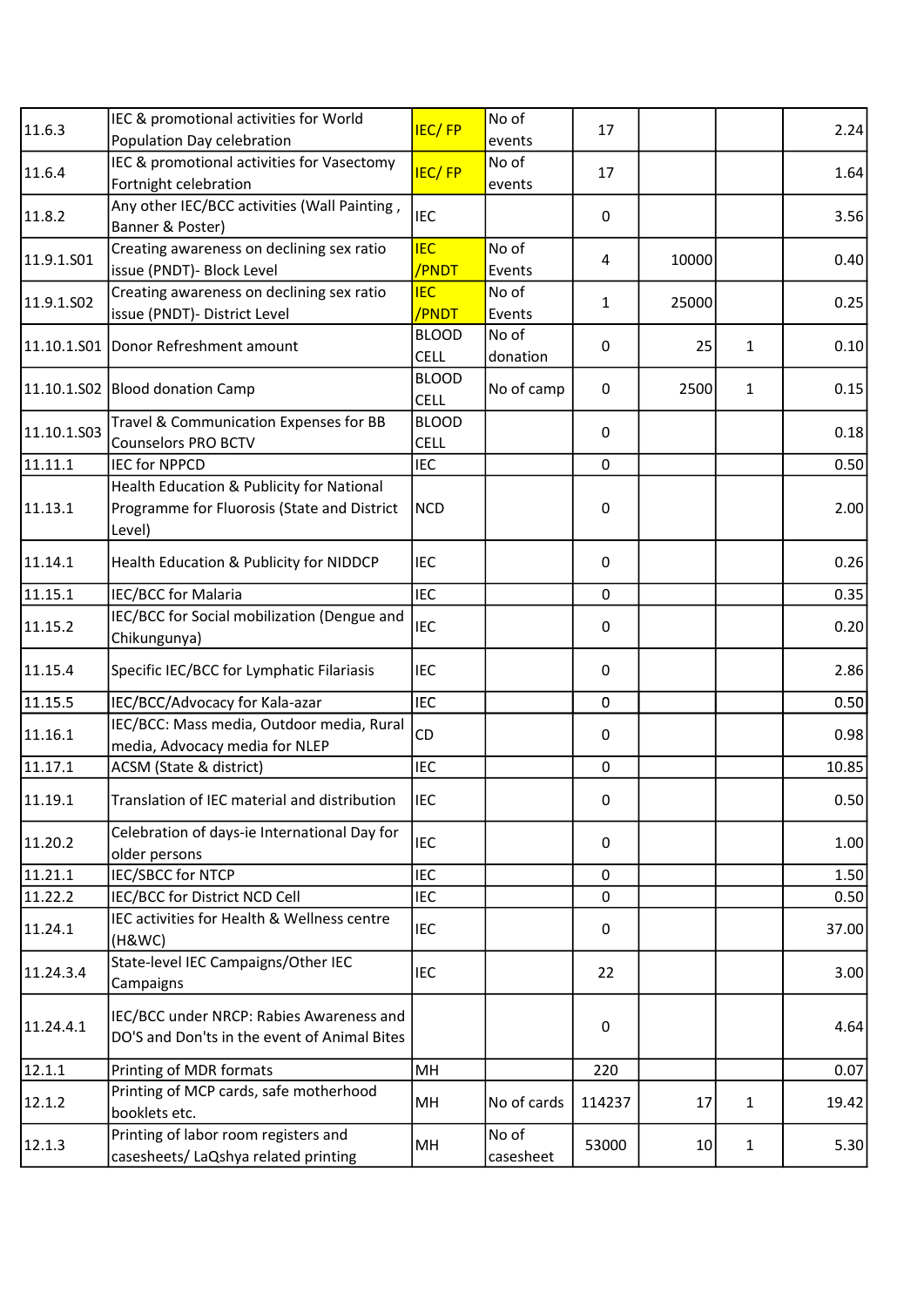| 11.6.3      | IEC & promotional activities for World                                                   | <b>IEC/FP</b>               | No of             | 17           |       |              | 2.24  |
|-------------|------------------------------------------------------------------------------------------|-----------------------------|-------------------|--------------|-------|--------------|-------|
|             | Population Day celebration                                                               |                             | events            |              |       |              |       |
| 11.6.4      | IEC & promotional activities for Vasectomy                                               | <b>IEC/FP</b>               | No of             | 17           |       |              | 1.64  |
|             | Fortnight celebration                                                                    |                             | events            |              |       |              |       |
| 11.8.2      | Any other IEC/BCC activities (Wall Painting,                                             | <b>IEC</b>                  |                   | 0            |       |              | 3.56  |
|             | Banner & Poster)                                                                         |                             |                   |              |       |              |       |
| 11.9.1.S01  | Creating awareness on declining sex ratio                                                | <b>IEC</b>                  | No of             | 4            | 10000 |              | 0.40  |
|             | issue (PNDT) - Block Level                                                               | /PNDT                       | Events            |              |       |              |       |
| 11.9.1.SO2  | Creating awareness on declining sex ratio                                                | <b>IEC</b>                  | No of             | $\mathbf{1}$ | 25000 |              | 0.25  |
|             | issue (PNDT)- District Level                                                             | /PNDT                       | Events            |              |       |              |       |
|             | 11.10.1.S01 Donor Refreshment amount                                                     | <b>BLOOD</b><br>CELL        | No of<br>donation | 0            | 25    | 1            | 0.10  |
|             | 11.10.1.S02 Blood donation Camp                                                          | <b>BLOOD</b><br><b>CELL</b> | No of camp        | $\pmb{0}$    | 2500  | 1            | 0.15  |
|             | Travel & Communication Expenses for BB                                                   | <b>BLOOD</b>                |                   |              |       |              |       |
| 11.10.1.S03 | <b>Counselors PRO BCTV</b>                                                               | <b>CELL</b>                 |                   | $\mathbf 0$  |       |              | 0.18  |
| 11.11.1     | <b>IEC for NPPCD</b>                                                                     | <b>IEC</b>                  |                   | $\mathbf 0$  |       |              | 0.50  |
|             | Health Education & Publicity for National                                                |                             |                   |              |       |              |       |
| 11.13.1     | Programme for Fluorosis (State and District                                              | <b>NCD</b>                  |                   | $\pmb{0}$    |       |              | 2.00  |
|             | Level)                                                                                   |                             |                   |              |       |              |       |
| 11.14.1     | Health Education & Publicity for NIDDCP                                                  | <b>IEC</b>                  |                   | $\mathbf 0$  |       |              | 0.26  |
|             |                                                                                          |                             |                   |              |       |              |       |
| 11.15.1     | <b>IEC/BCC for Malaria</b>                                                               | <b>IEC</b>                  |                   | $\mathbf 0$  |       |              | 0.35  |
| 11.15.2     | IEC/BCC for Social mobilization (Dengue and<br>Chikungunya)                              | <b>IEC</b>                  |                   | 0            |       |              | 0.20  |
| 11.15.4     | Specific IEC/BCC for Lymphatic Filariasis                                                | <b>IEC</b>                  |                   | $\pmb{0}$    |       |              | 2.86  |
| 11.15.5     | IEC/BCC/Advocacy for Kala-azar                                                           | <b>IEC</b>                  |                   | $\mathbf 0$  |       |              | 0.50  |
|             | IEC/BCC: Mass media, Outdoor media, Rural                                                | <b>CD</b>                   |                   |              |       |              |       |
| 11.16.1     | media, Advocacy media for NLEP                                                           |                             |                   | 0            |       |              | 0.98  |
| 11.17.1     | ACSM (State & district)                                                                  | <b>IEC</b>                  |                   | $\mathbf 0$  |       |              | 10.85 |
| 11.19.1     | Translation of IEC material and distribution                                             | <b>IEC</b>                  |                   | $\Omega$     |       |              | 0.50  |
|             | Celebration of days-ie International Day for                                             |                             |                   |              |       |              |       |
| 11.20.2     | older persons                                                                            | <b>IEC</b>                  |                   | $\pmb{0}$    |       |              | 1.00  |
| 11.21.1     | <b>IEC/SBCC for NTCP</b>                                                                 | <b>IEC</b>                  |                   | $\mathbf 0$  |       |              | 1.50  |
| 11.22.2     | IEC/BCC for District NCD Cell                                                            | <b>IEC</b>                  |                   | $\mathbf 0$  |       |              | 0.50  |
| 11.24.1     | IEC activities for Health & Wellness centre<br>(H&WC)                                    | IEC                         |                   | $\pmb{0}$    |       |              | 37.00 |
| 11.24.3.4   | State-level IEC Campaigns/Other IEC<br>Campaigns                                         | <b>IEC</b>                  |                   | 22           |       |              | 3.00  |
|             |                                                                                          |                             |                   |              |       |              |       |
| 11.24.4.1   | IEC/BCC under NRCP: Rabies Awareness and<br>DO'S and Don'ts in the event of Animal Bites |                             |                   | $\pmb{0}$    |       |              | 4.64  |
| 12.1.1      | Printing of MDR formats                                                                  | MH                          |                   | 220          |       |              | 0.07  |
|             | Printing of MCP cards, safe motherhood                                                   |                             |                   |              |       |              |       |
| 12.1.2      | booklets etc.                                                                            | MH                          | No of cards       | 114237       | 17    | $\mathbf{1}$ | 19.42 |
|             | Printing of labor room registers and                                                     |                             | No of             |              |       |              |       |
| 12.1.3      | casesheets/ LaQshya related printing                                                     | MH                          | casesheet         | 53000        | 10    | $\mathbf{1}$ | 5.30  |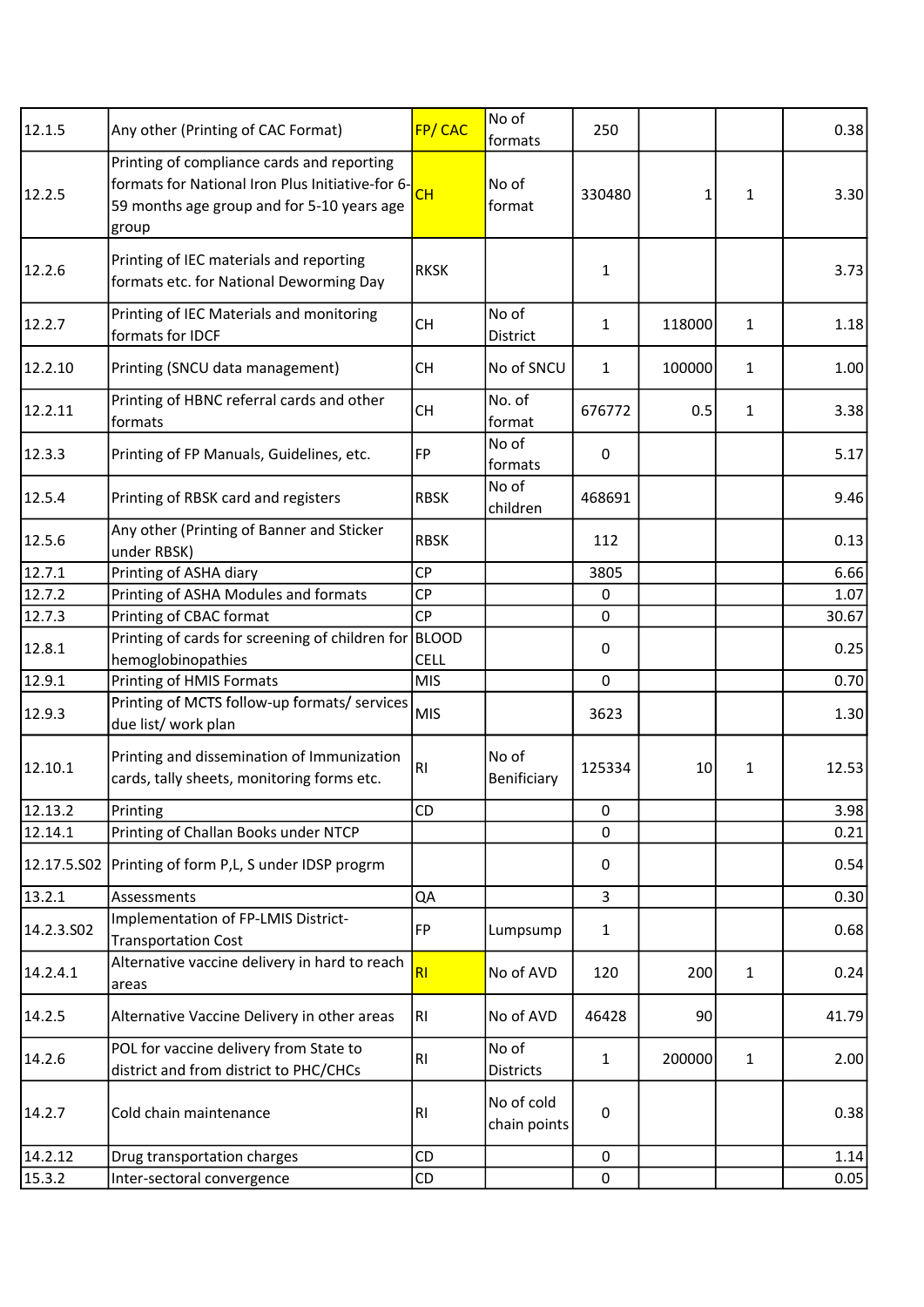| 12.1.5                 | Any other (Printing of CAC Format)                                                                                                                    | <b>FP/CAC</b>  | No of<br>formats           | 250          |        |              | 0.38  |
|------------------------|-------------------------------------------------------------------------------------------------------------------------------------------------------|----------------|----------------------------|--------------|--------|--------------|-------|
| 12.2.5                 | Printing of compliance cards and reporting<br>formats for National Iron Plus Initiative-for 6-<br>59 months age group and for 5-10 years age<br>group | CH             | No of<br>format            | 330480       | 1      | 1            | 3.30  |
| 12.2.6                 | Printing of IEC materials and reporting<br>formats etc. for National Deworming Day                                                                    | <b>RKSK</b>    |                            | 1            |        |              | 3.73  |
| 12.2.7                 | Printing of IEC Materials and monitoring<br>formats for IDCF                                                                                          | <b>CH</b>      | No of<br>District          | $\mathbf{1}$ | 118000 | $\mathbf{1}$ | 1.18  |
| 12.2.10                | Printing (SNCU data management)                                                                                                                       | <b>CH</b>      | No of SNCU                 | 1            | 100000 | 1            | 1.00  |
| 12.2.11                | Printing of HBNC referral cards and other<br>formats                                                                                                  | <b>CH</b>      | No. of<br>format           | 676772       | 0.5    | 1            | 3.38  |
| 12.3.3                 | Printing of FP Manuals, Guidelines, etc.                                                                                                              | FP             | No of<br>formats           | 0            |        |              | 5.17  |
| 12.5.4                 | Printing of RBSK card and registers                                                                                                                   | <b>RBSK</b>    | No of<br>children          | 468691       |        |              | 9.46  |
| 12.5.6                 | Any other (Printing of Banner and Sticker<br>under RBSK)                                                                                              | <b>RBSK</b>    |                            | 112          |        |              | 0.13  |
| 12.7.1                 | Printing of ASHA diary                                                                                                                                | <b>CP</b>      |                            | 3805         |        |              | 6.66  |
| 12.7.2                 | Printing of ASHA Modules and formats                                                                                                                  | <b>CP</b>      |                            | 0            |        |              | 1.07  |
| 12.7.3                 | Printing of CBAC format                                                                                                                               | <b>CP</b>      |                            | $\mathbf 0$  |        |              | 30.67 |
| 12.8.1                 | Printing of cards for screening of children for BLOOD                                                                                                 |                |                            | 0            |        |              | 0.25  |
|                        | hemoglobinopathies                                                                                                                                    | <b>CELL</b>    |                            |              |        |              |       |
| 12.9.1                 | Printing of HMIS Formats                                                                                                                              | <b>MIS</b>     |                            | $\mathbf 0$  |        |              | 0.70  |
| 12.9.3                 | Printing of MCTS follow-up formats/ services<br>due list/ work plan                                                                                   | <b>MIS</b>     |                            | 3623         |        |              | 1.30  |
| 12.10.1                | Printing and dissemination of Immunization<br>cards, tally sheets, monitoring forms etc.                                                              | RI             | No of<br>Benificiary       | 125334       | 10     | 1            | 12.53 |
| 12.13.2                | Printing                                                                                                                                              | CD             |                            | 0            |        |              | 3.98  |
| 12.14.1                | Printing of Challan Books under NTCP                                                                                                                  |                |                            | 0            |        |              | 0.21  |
| 12.17.5.502            | Printing of form P,L, S under IDSP progrm                                                                                                             |                |                            | 0            |        |              | 0.54  |
| 13.2.1                 | Assessments                                                                                                                                           | QA             |                            | 3            |        |              | 0.30  |
| 14.2.3.SO <sub>2</sub> | Implementation of FP-LMIS District-<br><b>Transportation Cost</b>                                                                                     | <b>FP</b>      | Lumpsump                   | 1            |        |              | 0.68  |
| 14.2.4.1               | Alternative vaccine delivery in hard to reach<br>areas                                                                                                | RI             | No of AVD                  | 120          | 200    | 1            | 0.24  |
| 14.2.5                 | Alternative Vaccine Delivery in other areas                                                                                                           | R <sub>l</sub> | No of AVD                  | 46428        | 90     |              | 41.79 |
| 14.2.6                 | POL for vaccine delivery from State to<br>district and from district to PHC/CHCs                                                                      | RI             | No of<br><b>Districts</b>  | 1            | 200000 | 1            | 2.00  |
| 14.2.7                 | Cold chain maintenance                                                                                                                                | R1             | No of cold<br>chain points | $\pmb{0}$    |        |              | 0.38  |
| 14.2.12                | Drug transportation charges                                                                                                                           | CD             |                            | 0            |        |              | 1.14  |
| 15.3.2                 | Inter-sectoral convergence                                                                                                                            | CD             |                            | 0            |        |              | 0.05  |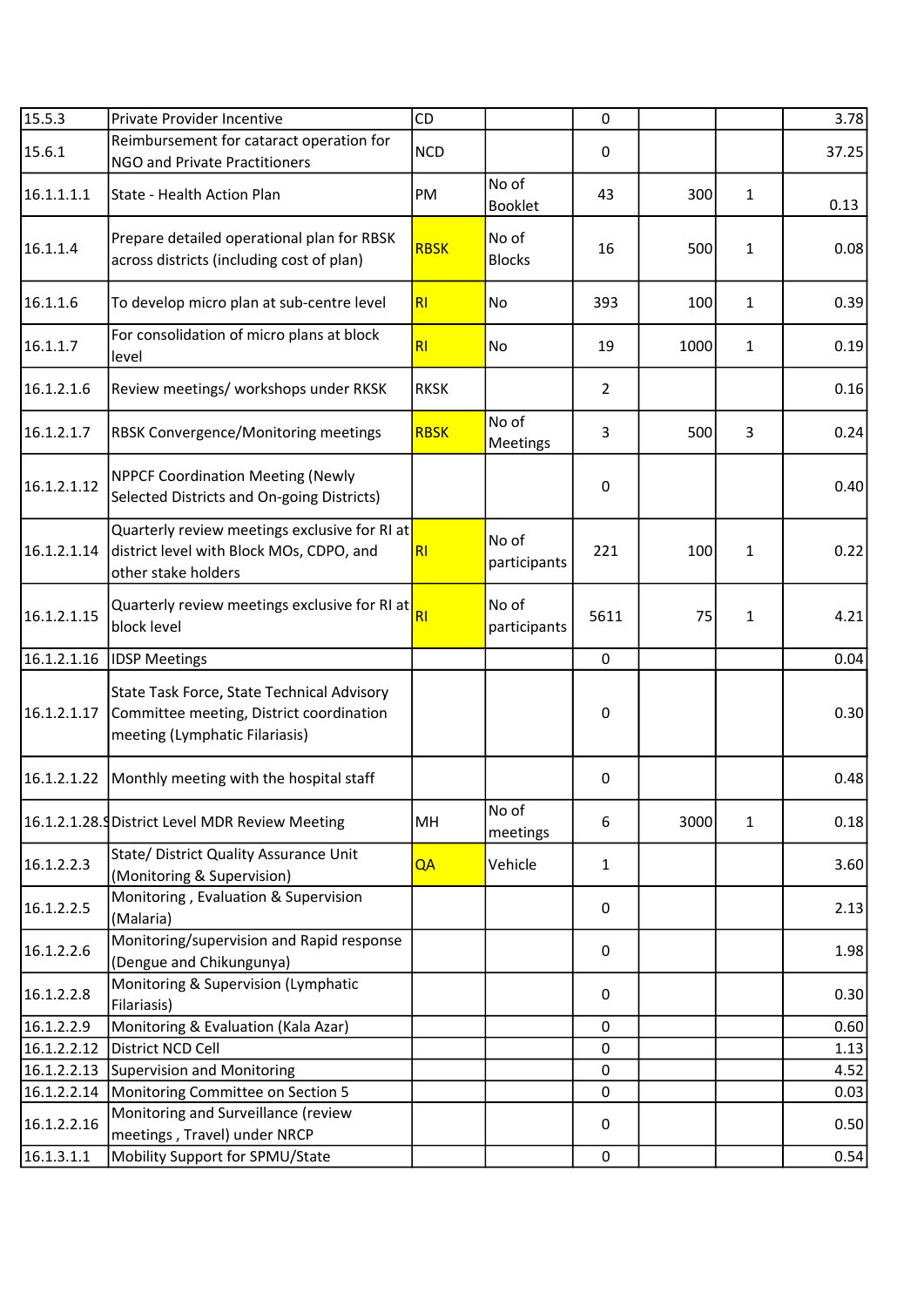| 15.5.3      | Private Provider Incentive                                                                                               | CD             |                         | 0              |      |              | 3.78  |
|-------------|--------------------------------------------------------------------------------------------------------------------------|----------------|-------------------------|----------------|------|--------------|-------|
| 15.6.1      | Reimbursement for cataract operation for<br>NGO and Private Practitioners                                                | <b>NCD</b>     |                         | 0              |      |              | 37.25 |
| 16.1.1.1.1  | State - Health Action Plan                                                                                               | PM             | No of<br><b>Booklet</b> | 43             | 300  | $\mathbf{1}$ | 0.13  |
| 16.1.1.4    | Prepare detailed operational plan for RBSK<br>across districts (including cost of plan)                                  | <b>RBSK</b>    | No of<br><b>Blocks</b>  | 16             | 500  | 1            | 0.08  |
| 16.1.1.6    | To develop micro plan at sub-centre level                                                                                | R <sub>l</sub> | No                      | 393            | 100  | $\mathbf{1}$ | 0.39  |
| 16.1.1.7    | For consolidation of micro plans at block<br>level                                                                       | RI             | <b>No</b>               | 19             | 1000 | $\mathbf{1}$ | 0.19  |
| 16.1.2.1.6  | Review meetings/ workshops under RKSK                                                                                    | <b>RKSK</b>    |                         | $\overline{2}$ |      |              | 0.16  |
| 16.1.2.1.7  | RBSK Convergence/Monitoring meetings                                                                                     | <b>RBSK</b>    | No of<br>Meetings       | $\overline{3}$ | 500  | 3            | 0.24  |
| 16.1.2.1.12 | <b>NPPCF Coordination Meeting (Newly</b><br>Selected Districts and On-going Districts)                                   |                |                         | $\pmb{0}$      |      |              | 0.40  |
| 16.1.2.1.14 | Quarterly review meetings exclusive for RI at<br>district level with Block MOs, CDPO, and<br>other stake holders         | R <sub>l</sub> | No of<br>participants   | 221            | 100  | 1            | 0.22  |
| 16.1.2.1.15 | Quarterly review meetings exclusive for RI at<br>block level                                                             | R <sub>l</sub> | No of<br>participants   | 5611           | 75   | 1            | 4.21  |
| 16.1.2.1.16 | <b>IDSP Meetings</b>                                                                                                     |                |                         | $\mathbf 0$    |      |              | 0.04  |
| 16.1.2.1.17 | State Task Force, State Technical Advisory<br>Committee meeting, District coordination<br>meeting (Lymphatic Filariasis) |                |                         | $\pmb{0}$      |      |              | 0.30  |
| 16.1.2.1.22 | Monthly meeting with the hospital staff                                                                                  |                |                         | 0              |      |              | 0.48  |
|             | 16.1.2.1.28. District Level MDR Review Meeting                                                                           | MH             | No of<br>meetings       | 6              | 3000 | 1            | 0.18  |
| 16.1.2.2.3  | State/ District Quality Assurance Unit<br>(Monitoring & Supervision)                                                     | QA             | Vehicle                 | $\mathbf{1}$   |      |              | 3.60  |
| 16.1.2.2.5  | Monitoring, Evaluation & Supervision<br>(Malaria)                                                                        |                |                         | 0              |      |              | 2.13  |
| 16.1.2.2.6  | Monitoring/supervision and Rapid response<br>(Dengue and Chikungunya)                                                    |                |                         | 0              |      |              | 1.98  |
| 16.1.2.2.8  | Monitoring & Supervision (Lymphatic<br>Filariasis)                                                                       |                |                         | $\pmb{0}$      |      |              | 0.30  |
| 16.1.2.2.9  | Monitoring & Evaluation (Kala Azar)                                                                                      |                |                         | 0              |      |              | 0.60  |
| 16.1.2.2.12 | District NCD Cell                                                                                                        |                |                         | $\pmb{0}$      |      |              | 1.13  |
| 16.1.2.2.13 | <b>Supervision and Monitoring</b>                                                                                        |                |                         | 0              |      |              | 4.52  |
| 16.1.2.2.14 | Monitoring Committee on Section 5                                                                                        |                |                         | 0              |      |              | 0.03  |
| 16.1.2.2.16 | Monitoring and Surveillance (review<br>meetings, Travel) under NRCP                                                      |                |                         | 0              |      |              | 0.50  |
| 16.1.3.1.1  | Mobility Support for SPMU/State                                                                                          |                |                         | $\mathbf 0$    |      |              | 0.54  |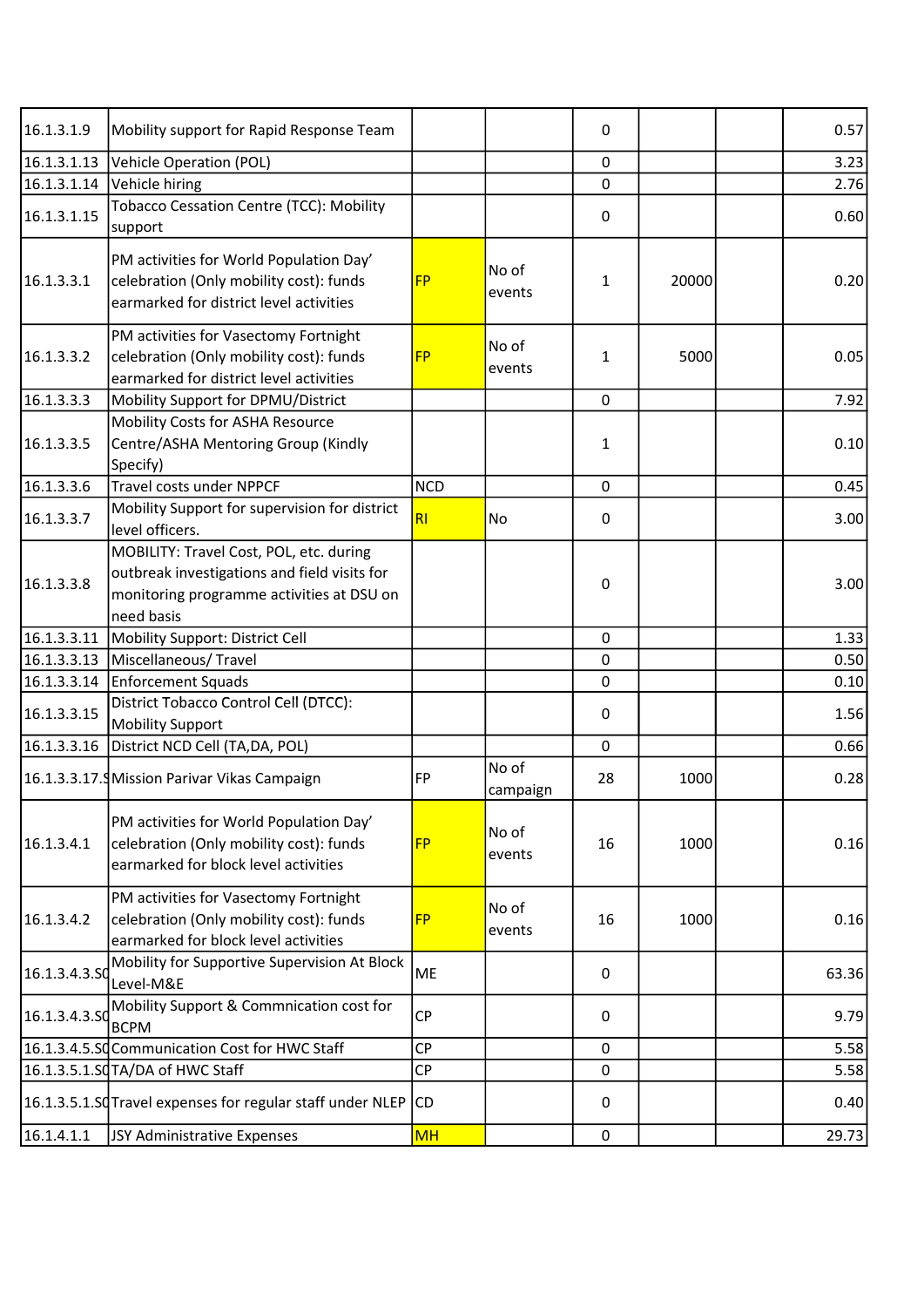| 16.1.3.1.9    | Mobility support for Rapid Response Team                                                                                                           |            |                   | 0           |       | 0.57  |
|---------------|----------------------------------------------------------------------------------------------------------------------------------------------------|------------|-------------------|-------------|-------|-------|
| 16.1.3.1.13   | Vehicle Operation (POL)                                                                                                                            |            |                   | 0           |       | 3.23  |
| 16.1.3.1.14   | Vehicle hiring                                                                                                                                     |            |                   | 0           |       | 2.76  |
| 16.1.3.1.15   | Tobacco Cessation Centre (TCC): Mobility<br>support                                                                                                |            |                   | 0           |       | 0.60  |
| 16.1.3.3.1    | PM activities for World Population Day'<br>celebration (Only mobility cost): funds<br>earmarked for district level activities                      | <b>FP</b>  | No of<br>events   | 1           | 20000 | 0.20  |
| 16.1.3.3.2    | PM activities for Vasectomy Fortnight<br>celebration (Only mobility cost): funds<br>earmarked for district level activities                        | <b>FP</b>  | No of<br>events   | 1           | 5000  | 0.05  |
| 16.1.3.3.3    | Mobility Support for DPMU/District                                                                                                                 |            |                   | 0           |       | 7.92  |
| 16.1.3.3.5    | Mobility Costs for ASHA Resource<br>Centre/ASHA Mentoring Group (Kindly<br>Specify)                                                                |            |                   | 1           |       | 0.10  |
| 16.1.3.3.6    | Travel costs under NPPCF                                                                                                                           | <b>NCD</b> |                   | 0           |       | 0.45  |
| 16.1.3.3.7    | Mobility Support for supervision for district<br>level officers.                                                                                   | <b>RI</b>  | No                | 0           |       | 3.00  |
| 16.1.3.3.8    | MOBILITY: Travel Cost, POL, etc. during<br>outbreak investigations and field visits for<br>monitoring programme activities at DSU on<br>need basis |            |                   | 0           |       | 3.00  |
| 16.1.3.3.11   | Mobility Support: District Cell                                                                                                                    |            |                   | $\mathbf 0$ |       | 1.33  |
| 16.1.3.3.13   | Miscellaneous/Travel                                                                                                                               |            |                   | 0           |       | 0.50  |
| 16.1.3.3.14   | Enforcement Squads                                                                                                                                 |            |                   | 0           |       | 0.10  |
| 16.1.3.3.15   | District Tobacco Control Cell (DTCC):<br><b>Mobility Support</b>                                                                                   |            |                   | 0           |       | 1.56  |
| 16.1.3.3.16   | District NCD Cell (TA, DA, POL)                                                                                                                    |            |                   | $\mathbf 0$ |       | 0.66  |
|               | 16.1.3.3.17.9 Mission Parivar Vikas Campaign                                                                                                       | <b>FP</b>  | No of<br>campaign | 28          | 1000  | 0.28  |
| 16.1.3.4.1    | PM activities for World Population Day'<br>celebration (Only mobility cost): funds<br>earmarked for block level activities                         | <b>FP</b>  | No of<br>events   | 16          | 1000  | 0.16  |
| 16.1.3.4.2    | PM activities for Vasectomy Fortnight<br>celebration (Only mobility cost): funds<br>earmarked for block level activities                           | <b>FP</b>  | No of<br>events   | 16          | 1000  | 0.16  |
| 16.1.3.4.3.SO | Mobility for Supportive Supervision At Block<br>Level-M&E                                                                                          | ME         |                   | 0           |       | 63.36 |
| 16.1.3.4.3.SO | Mobility Support & Commnication cost for<br><b>BCPM</b>                                                                                            | <b>CP</b>  |                   | 0           |       | 9.79  |
|               | 16.1.3.4.5.SQ Communication Cost for HWC Staff                                                                                                     | <b>CP</b>  |                   | 0           |       | 5.58  |
|               | 16.1.3.5.1.SQTA/DA of HWC Staff                                                                                                                    | <b>CP</b>  |                   | 0           |       | 5.58  |
|               | 16.1.3.5.1.SQ Travel expenses for regular staff under NLEP                                                                                         | CD.        |                   | 0           |       | 0.40  |
| 16.1.4.1.1    | JSY Administrative Expenses                                                                                                                        | <b>MH</b>  |                   | $\pmb{0}$   |       | 29.73 |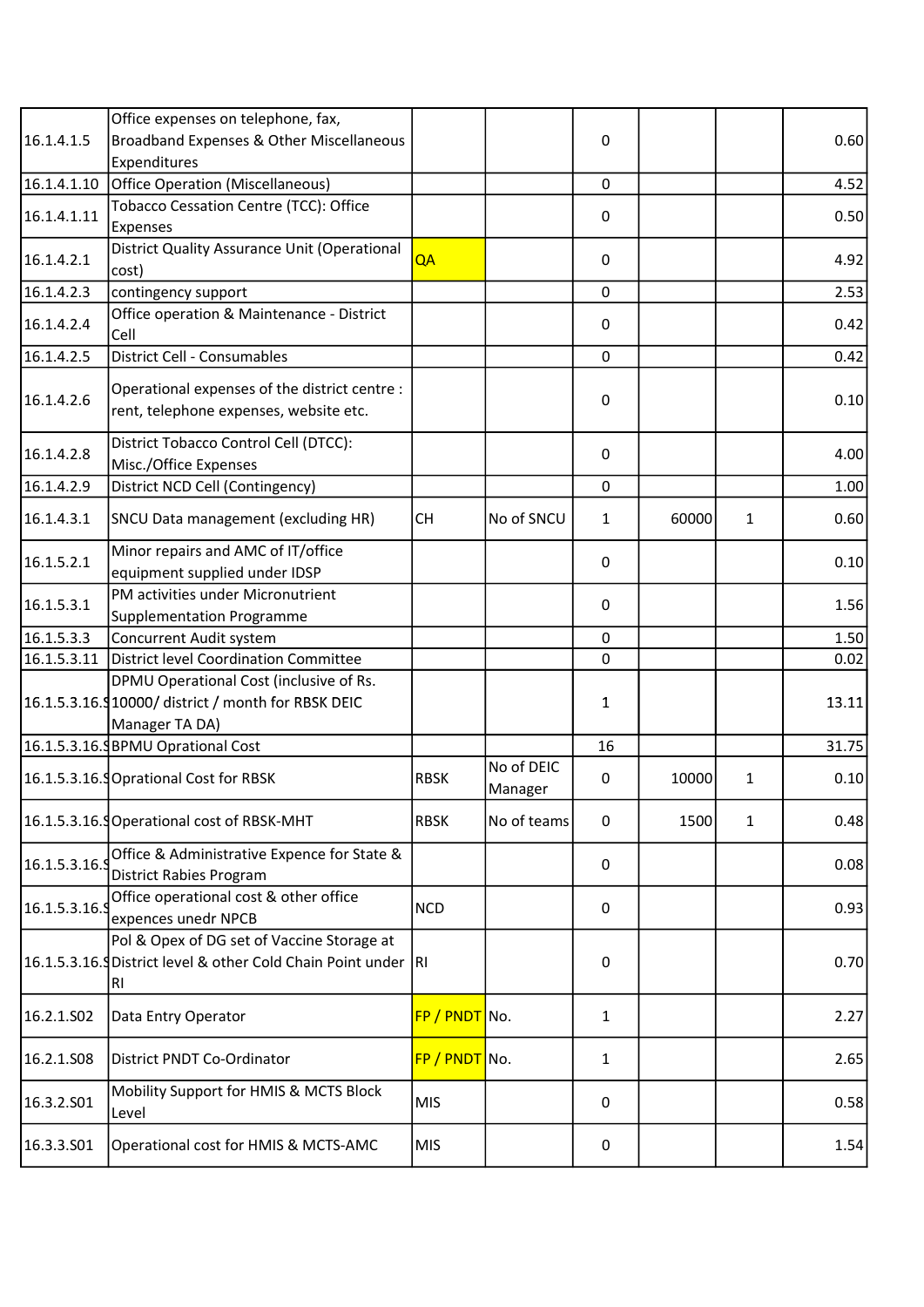|               | Office expenses on telephone, fax,                                                                                |               |                       |              |       |   |       |
|---------------|-------------------------------------------------------------------------------------------------------------------|---------------|-----------------------|--------------|-------|---|-------|
| 16.1.4.1.5    | Broadband Expenses & Other Miscellaneous                                                                          |               |                       | 0            |       |   | 0.60  |
|               | Expenditures                                                                                                      |               |                       |              |       |   |       |
| 16.1.4.1.10   | Office Operation (Miscellaneous)                                                                                  |               |                       | $\mathbf 0$  |       |   | 4.52  |
| 16.1.4.1.11   | Tobacco Cessation Centre (TCC): Office<br>Expenses                                                                |               |                       | 0            |       |   | 0.50  |
| 16.1.4.2.1    | District Quality Assurance Unit (Operational                                                                      | QA            |                       | 0            |       |   | 4.92  |
|               | cost)                                                                                                             |               |                       |              |       |   |       |
| 16.1.4.2.3    | contingency support                                                                                               |               |                       | $\mathbf 0$  |       |   | 2.53  |
| 16.1.4.2.4    | Office operation & Maintenance - District<br>Cell                                                                 |               |                       | 0            |       |   | 0.42  |
| 16.1.4.2.5    | District Cell - Consumables                                                                                       |               |                       | $\mathbf 0$  |       |   | 0.42  |
| 16.1.4.2.6    | Operational expenses of the district centre :<br>rent, telephone expenses, website etc.                           |               |                       | 0            |       |   | 0.10  |
| 16.1.4.2.8    | District Tobacco Control Cell (DTCC):<br>Misc./Office Expenses                                                    |               |                       | 0            |       |   | 4.00  |
| 16.1.4.2.9    | District NCD Cell (Contingency)                                                                                   |               |                       | 0            |       |   | 1.00  |
| 16.1.4.3.1    | SNCU Data management (excluding HR)                                                                               | <b>CH</b>     | No of SNCU            | $\mathbf{1}$ | 60000 | 1 | 0.60  |
| 16.1.5.2.1    | Minor repairs and AMC of IT/office<br>equipment supplied under IDSP                                               |               |                       | 0            |       |   | 0.10  |
| 16.1.5.3.1    | PM activities under Micronutrient<br><b>Supplementation Programme</b>                                             |               |                       | 0            |       |   | 1.56  |
| 16.1.5.3.3    | Concurrent Audit system                                                                                           |               |                       | 0            |       |   | 1.50  |
| 16.1.5.3.11   | District level Coordination Committee                                                                             |               |                       | 0            |       |   | 0.02  |
|               | DPMU Operational Cost (inclusive of Rs.<br>16.1.5.3.16.910000/ district / month for RBSK DEIC                     |               |                       | 1            |       |   | 13.11 |
|               | Manager TA DA)                                                                                                    |               |                       |              |       |   |       |
|               | 16.1.5.3.16.9 BPMU Oprational Cost                                                                                |               |                       | 16           |       |   | 31.75 |
|               | 16.1.5.3.16.9 Oprational Cost for RBSK                                                                            | <b>RBSK</b>   | No of DEIC<br>Manager | 0            | 10000 | 1 | 0.10  |
|               | 16.1.5.3.16. Operational cost of RBSK-MHT                                                                         | <b>RBSK</b>   | No of teams           | 0            | 1500  | 1 | 0.48  |
| 16.1.5.3.16.  | Office & Administrative Expence for State &<br><b>District Rabies Program</b>                                     |               |                       | 0            |       |   | 0.08  |
| 16.1.5.3.16.9 | Office operational cost & other office<br>expences unedr NPCB                                                     | <b>NCD</b>    |                       | 0            |       |   | 0.93  |
|               | Pol & Opex of DG set of Vaccine Storage at<br>16.1.5.3.16. District level & other Cold Chain Point under RI<br>RI |               |                       | 0            |       |   | 0.70  |
| 16.2.1.SO2    | Data Entry Operator                                                                                               | FP / PNDT No. |                       | 1            |       |   | 2.27  |
| 16.2.1.S08    | District PNDT Co-Ordinator                                                                                        | FP / PNDT No. |                       | 1            |       |   | 2.65  |
| 16.3.2.S01    | Mobility Support for HMIS & MCTS Block<br>Level                                                                   | <b>MIS</b>    |                       | 0            |       |   | 0.58  |
| 16.3.3.501    | Operational cost for HMIS & MCTS-AMC                                                                              | <b>MIS</b>    |                       | 0            |       |   | 1.54  |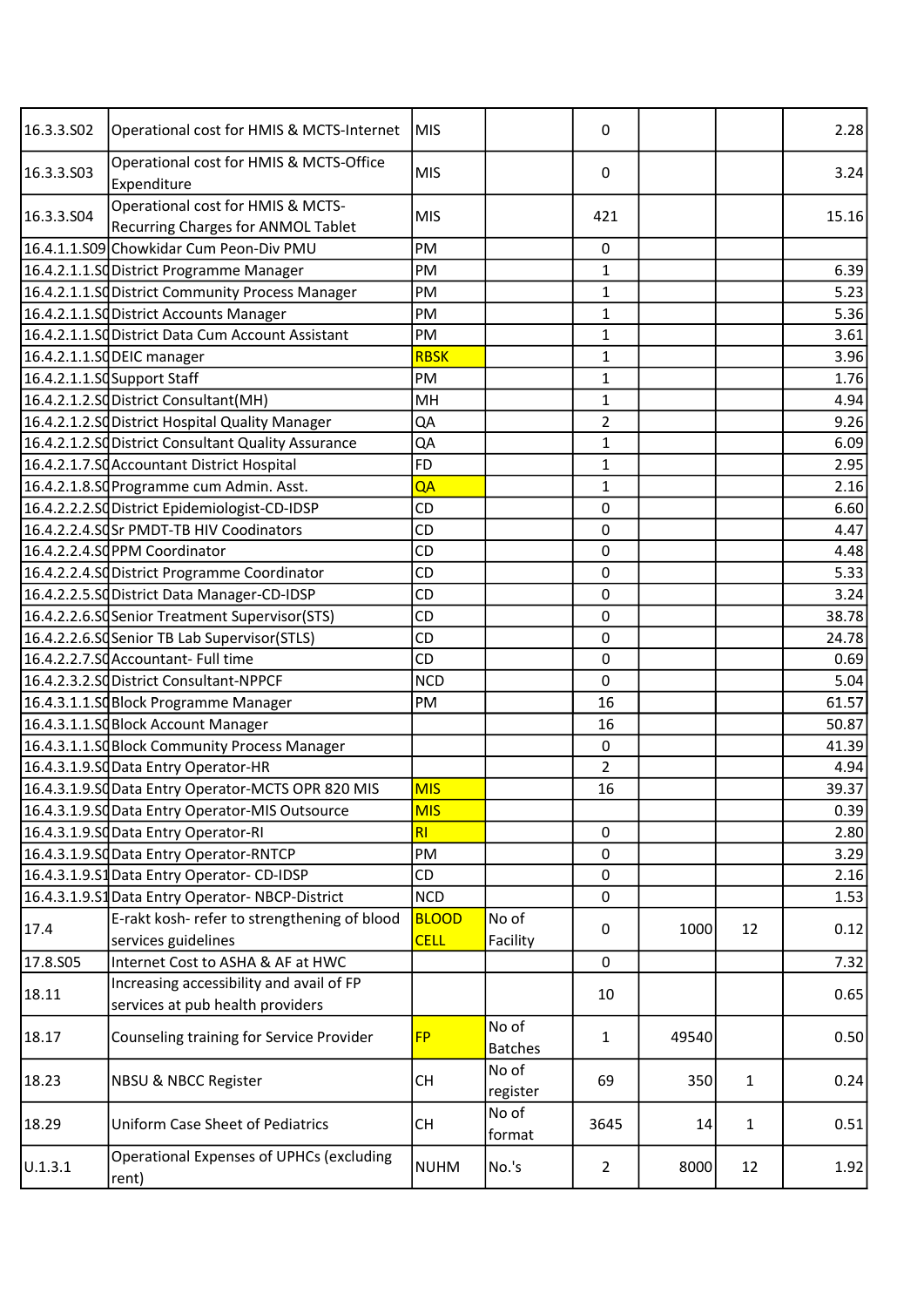| 16.3.3.502 | Operational cost for HMIS & MCTS-Internet                               | MIS          |                         | 0              |       |              | 2.28  |
|------------|-------------------------------------------------------------------------|--------------|-------------------------|----------------|-------|--------------|-------|
| 16.3.3.503 | Operational cost for HMIS & MCTS-Office<br>Expenditure                  | <b>MIS</b>   |                         | 0              |       |              | 3.24  |
| 16.3.3.504 | Operational cost for HMIS & MCTS-<br>Recurring Charges for ANMOL Tablet | <b>MIS</b>   |                         | 421            |       |              | 15.16 |
|            | 16.4.1.1.S09 Chowkidar Cum Peon-Div PMU                                 | PM           |                         | $\mathsf 0$    |       |              |       |
|            | 16.4.2.1.1.SQ District Programme Manager                                | PM           |                         | $\mathbf 1$    |       |              | 6.39  |
|            | 16.4.2.1.1.SQ District Community Process Manager                        | PM           |                         | $\mathbf{1}$   |       |              | 5.23  |
|            | 16.4.2.1.1.SC District Accounts Manager                                 | PM           |                         | $\mathbf{1}$   |       |              | 5.36  |
|            | 16.4.2.1.1.SQ District Data Cum Account Assistant                       | PM           |                         | $\mathbf 1$    |       |              | 3.61  |
|            | 16.4.2.1.1.SQDEIC manager                                               | <b>RBSK</b>  |                         | $\mathbf{1}$   |       |              | 3.96  |
|            | 16.4.2.1.1.SQ Support Staff                                             | PM           |                         | $\mathbf{1}$   |       |              | 1.76  |
|            | 16.4.2.1.2.SC District Consultant(MH)                                   | MH           |                         | $\mathbf{1}$   |       |              | 4.94  |
|            | 16.4.2.1.2.SC District Hospital Quality Manager                         | QA           |                         | $\overline{2}$ |       |              | 9.26  |
|            | 16.4.2.1.2.SQ District Consultant Quality Assurance                     | QA           |                         | $\mathbf{1}$   |       |              | 6.09  |
|            | 16.4.2.1.7.SC Accountant District Hospital                              | <b>FD</b>    |                         | $\mathbf 1$    |       |              | 2.95  |
|            | 16.4.2.1.8.SC Programme cum Admin. Asst.                                | QA           |                         | $\mathbf{1}$   |       |              | 2.16  |
|            | 16.4.2.2.2.SdDistrict Epidemiologist-CD-IDSP                            | <b>CD</b>    |                         | $\mathsf 0$    |       |              | 6.60  |
|            | 16.4.2.2.4.SQSr PMDT-TB HIV Coodinators                                 | CD           |                         | 0              |       |              | 4.47  |
|            | 16.4.2.2.4.SCPPM Coordinator                                            | CD           |                         | 0              |       |              | 4.48  |
|            | 16.4.2.2.4.SdDistrict Programme Coordinator                             | CD           |                         | 0              |       |              | 5.33  |
|            | 16.4.2.2.5.SQ District Data Manager-CD-IDSP                             | CD           |                         | 0              |       |              | 3.24  |
|            | 16.4.2.2.6.SC Senior Treatment Supervisor (STS)                         | CD           |                         | $\mathsf 0$    |       |              | 38.78 |
|            | 16.4.2.2.6.SQ Senior TB Lab Supervisor (STLS)                           | CD           |                         | 0              |       |              | 24.78 |
|            | 16.4.2.2.7.SCAccountant- Full time                                      | CD           |                         | 0              |       |              | 0.69  |
|            | 16.4.2.3.2.SC District Consultant-NPPCF                                 | <b>NCD</b>   |                         | 0              |       |              | 5.04  |
|            | 16.4.3.1.1.SC Block Programme Manager                                   | PM           |                         | 16             |       |              | 61.57 |
|            |                                                                         |              |                         | 16             |       |              | 50.87 |
|            | 16.4.3.1.1.SC Block Account Manager                                     |              |                         | 0              |       |              | 41.39 |
|            | 16.4.3.1.1.SC Block Community Process Manager                           |              |                         | $\overline{2}$ |       |              |       |
|            | 16.4.3.1.9.SQ Data Entry Operator-HR                                    | <b>MIS</b>   |                         | 16             |       |              | 4.94  |
|            | 16.4.3.1.9.SdData Entry Operator-MCTS OPR 820 MIS                       |              |                         |                |       |              | 39.37 |
|            | 16.4.3.1.9.SC Data Entry Operator-MIS Outsource                         | <b>MIS</b>   |                         |                |       |              | 0.39  |
|            | 16.4.3.1.9.SC Data Entry Operator-RI                                    | <b>RI</b>    |                         | 0              |       |              | 2.80  |
|            | 16.4.3.1.9.SC Data Entry Operator-RNTCP                                 | PM           |                         | 0              |       |              | 3.29  |
|            | 16.4.3.1.9.S1Data Entry Operator-CD-IDSP                                | CD           |                         | $\pmb{0}$      |       |              | 2.16  |
|            | 16.4.3.1.9.S1 Data Entry Operator-NBCP-District                         | <b>NCD</b>   |                         | 0              |       |              | 1.53  |
| 17.4       | E-rakt kosh- refer to strengthening of blood                            | <b>BLOOD</b> | No of                   | 0              | 1000  | 12           | 0.12  |
|            | services guidelines                                                     | <b>CELL</b>  | Facility                |                |       |              |       |
| 17.8.S05   | Internet Cost to ASHA & AF at HWC                                       |              |                         | $\mathbf 0$    |       |              | 7.32  |
| 18.11      | Increasing accessibility and avail of FP                                |              |                         | 10             |       |              | 0.65  |
|            | services at pub health providers                                        |              |                         |                |       |              |       |
| 18.17      | Counseling training for Service Provider                                | <b>FP</b>    | No of<br><b>Batches</b> | $\mathbf{1}$   | 49540 |              | 0.50  |
| 18.23      | <b>NBSU &amp; NBCC Register</b>                                         | <b>CH</b>    | No of<br>register       | 69             | 350   | 1            | 0.24  |
| 18.29      | <b>Uniform Case Sheet of Pediatrics</b>                                 | <b>CH</b>    | No of<br>format         | 3645           | 14    | $\mathbf{1}$ | 0.51  |
| U.1.3.1    | <b>Operational Expenses of UPHCs (excluding</b><br>rent)                | <b>NUHM</b>  | No.'s                   | $\overline{2}$ | 8000  | 12           | 1.92  |